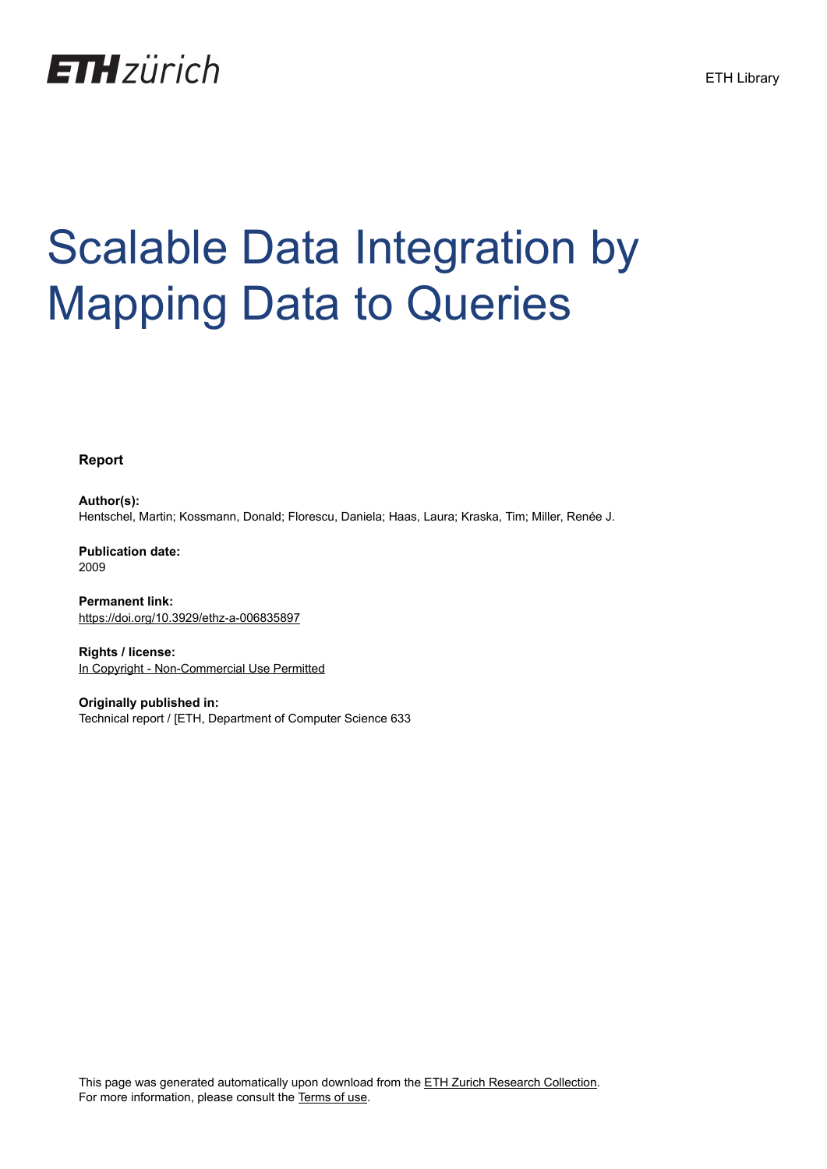

# Scalable Data Integration by Mapping Data to Queries

**Report**

**Author(s):** Hentschel, Martin; Kossmann, Donald; Florescu, Daniela; Haas, Laura; Kraska, Tim; Miller, Renée J.

**Publication date:** 2009

**Permanent link:** <https://doi.org/10.3929/ethz-a-006835897>

**Rights / license:** [In Copyright - Non-Commercial Use Permitted](http://rightsstatements.org/page/InC-NC/1.0/)

**Originally published in:** Technical report / [ETH, Department of Computer Science 633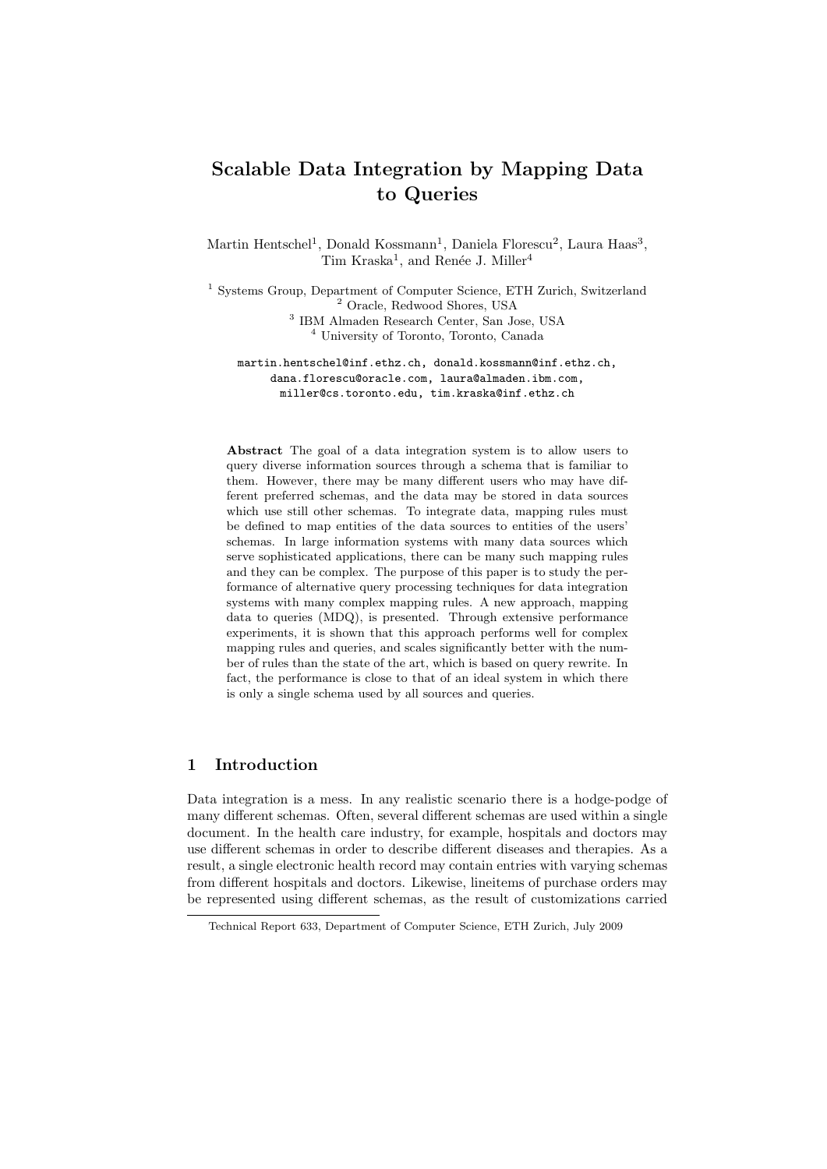## Scalable Data Integration by Mapping Data to Queries

Martin Hentschel<sup>1</sup>, Donald Kossmann<sup>1</sup>, Daniela Florescu<sup>2</sup>, Laura Haas<sup>3</sup>, Tim Kraska<sup>1</sup>, and Renée J. Miller<sup>4</sup>

 Systems Group, Department of Computer Science, ETH Zurich, Switzerland Oracle, Redwood Shores, USA IBM Almaden Research Center, San Jose, USA University of Toronto, Toronto, Canada

martin.hentschel@inf.ethz.ch, donald.kossmann@inf.ethz.ch, dana.florescu@oracle.com, laura@almaden.ibm.com, miller@cs.toronto.edu, tim.kraska@inf.ethz.ch

Abstract The goal of a data integration system is to allow users to query diverse information sources through a schema that is familiar to them. However, there may be many different users who may have different preferred schemas, and the data may be stored in data sources which use still other schemas. To integrate data, mapping rules must be defined to map entities of the data sources to entities of the users' schemas. In large information systems with many data sources which serve sophisticated applications, there can be many such mapping rules and they can be complex. The purpose of this paper is to study the performance of alternative query processing techniques for data integration systems with many complex mapping rules. A new approach, mapping data to queries (MDQ), is presented. Through extensive performance experiments, it is shown that this approach performs well for complex mapping rules and queries, and scales significantly better with the number of rules than the state of the art, which is based on query rewrite. In fact, the performance is close to that of an ideal system in which there is only a single schema used by all sources and queries.

## 1 Introduction

Data integration is a mess. In any realistic scenario there is a hodge-podge of many different schemas. Often, several different schemas are used within a single document. In the health care industry, for example, hospitals and doctors may use different schemas in order to describe different diseases and therapies. As a result, a single electronic health record may contain entries with varying schemas from different hospitals and doctors. Likewise, lineitems of purchase orders may be represented using different schemas, as the result of customizations carried

Technical Report 633, Department of Computer Science, ETH Zurich, July 2009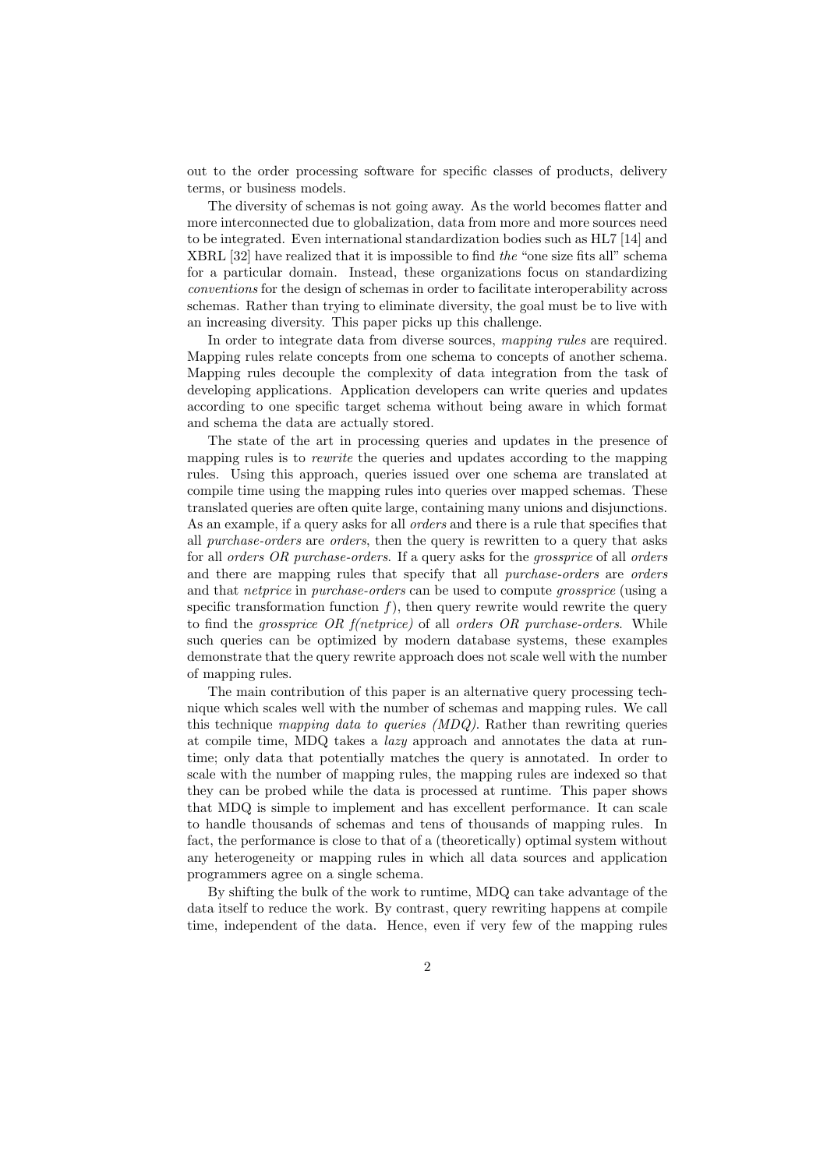out to the order processing software for specific classes of products, delivery terms, or business models.

The diversity of schemas is not going away. As the world becomes flatter and more interconnected due to globalization, data from more and more sources need to be integrated. Even international standardization bodies such as HL7 [14] and XBRL [32] have realized that it is impossible to find the "one size fits all" schema for a particular domain. Instead, these organizations focus on standardizing conventions for the design of schemas in order to facilitate interoperability across schemas. Rather than trying to eliminate diversity, the goal must be to live with an increasing diversity. This paper picks up this challenge.

In order to integrate data from diverse sources, mapping rules are required. Mapping rules relate concepts from one schema to concepts of another schema. Mapping rules decouple the complexity of data integration from the task of developing applications. Application developers can write queries and updates according to one specific target schema without being aware in which format and schema the data are actually stored.

The state of the art in processing queries and updates in the presence of mapping rules is to *rewrite* the queries and updates according to the mapping rules. Using this approach, queries issued over one schema are translated at compile time using the mapping rules into queries over mapped schemas. These translated queries are often quite large, containing many unions and disjunctions. As an example, if a query asks for all orders and there is a rule that specifies that all purchase-orders are orders, then the query is rewritten to a query that asks for all *orders OR purchase-orders*. If a query asks for the *grossprice* of all *orders* and there are mapping rules that specify that all *purchase-orders* are *orders* and that netprice in purchase-orders can be used to compute grossprice (using a specific transformation function  $f$ ), then query rewrite would rewrite the query to find the *grossprice OR f(netprice)* of all *orders OR purchase-orders*. While such queries can be optimized by modern database systems, these examples demonstrate that the query rewrite approach does not scale well with the number of mapping rules.

The main contribution of this paper is an alternative query processing technique which scales well with the number of schemas and mapping rules. We call this technique mapping data to queries (MDQ). Rather than rewriting queries at compile time, MDQ takes a lazy approach and annotates the data at runtime; only data that potentially matches the query is annotated. In order to scale with the number of mapping rules, the mapping rules are indexed so that they can be probed while the data is processed at runtime. This paper shows that MDQ is simple to implement and has excellent performance. It can scale to handle thousands of schemas and tens of thousands of mapping rules. In fact, the performance is close to that of a (theoretically) optimal system without any heterogeneity or mapping rules in which all data sources and application programmers agree on a single schema.

By shifting the bulk of the work to runtime, MDQ can take advantage of the data itself to reduce the work. By contrast, query rewriting happens at compile time, independent of the data. Hence, even if very few of the mapping rules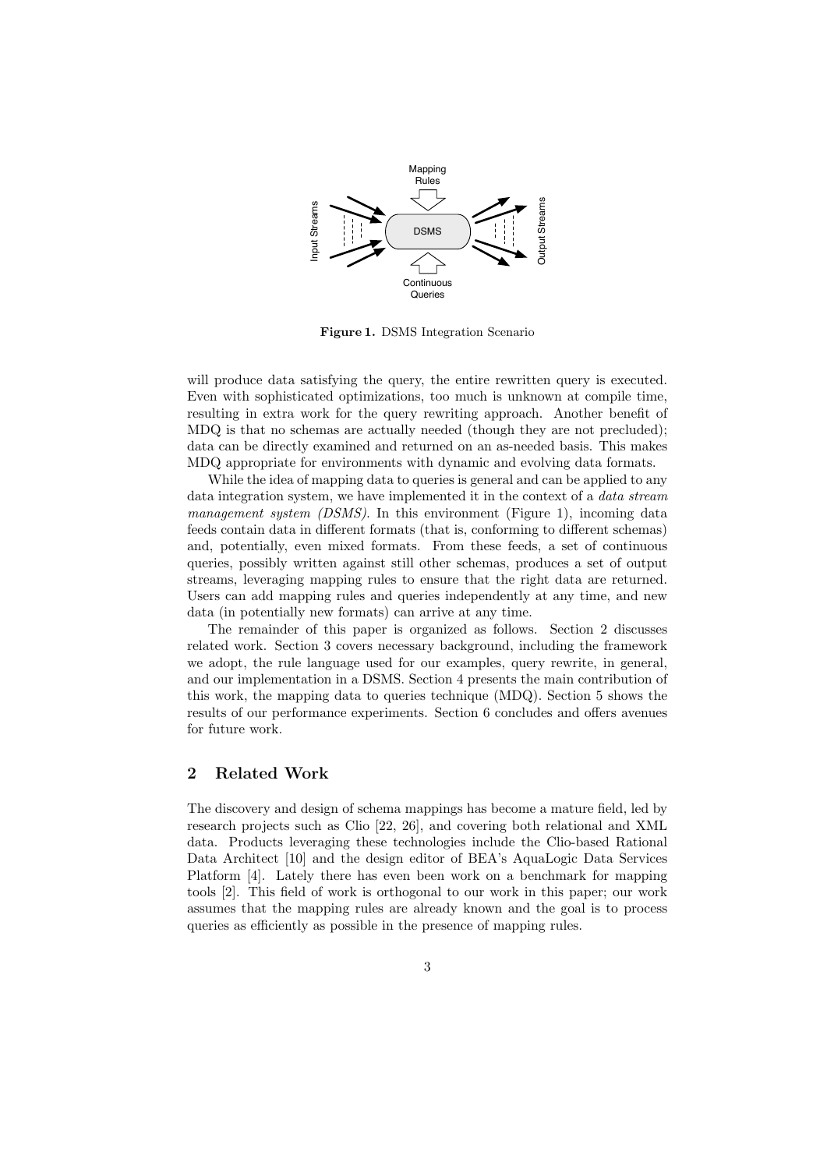

Figure 1. DSMS Integration Scenario

will produce data satisfying the query, the entire rewritten query is executed. Even with sophisticated optimizations, too much is unknown at compile time, resulting in extra work for the query rewriting approach. Another benefit of MDQ is that no schemas are actually needed (though they are not precluded); data can be directly examined and returned on an as-needed basis. This makes MDQ appropriate for environments with dynamic and evolving data formats.

While the idea of mapping data to queries is general and can be applied to any data integration system, we have implemented it in the context of a *data stream management system (DSMS)*. In this environment (Figure 1), incoming data feeds contain data in different formats (that is, conforming to different schemas) and, potentially, even mixed formats. From these feeds, a set of continuous queries, possibly written against still other schemas, produces a set of output streams, leveraging mapping rules to ensure that the right data are returned. Users can add mapping rules and queries independently at any time, and new data (in potentially new formats) can arrive at any time.

The remainder of this paper is organized as follows. Section 2 discusses related work. Section 3 covers necessary background, including the framework we adopt, the rule language used for our examples, query rewrite, in general, and our implementation in a DSMS. Section 4 presents the main contribution of this work, the mapping data to queries technique (MDQ). Section 5 shows the results of our performance experiments. Section 6 concludes and offers avenues for future work.

## 2 Related Work

The discovery and design of schema mappings has become a mature field, led by research projects such as Clio [22, 26], and covering both relational and XML data. Products leveraging these technologies include the Clio-based Rational Data Architect [10] and the design editor of BEA's AquaLogic Data Services Platform [4]. Lately there has even been work on a benchmark for mapping tools [2]. This field of work is orthogonal to our work in this paper; our work assumes that the mapping rules are already known and the goal is to process queries as efficiently as possible in the presence of mapping rules.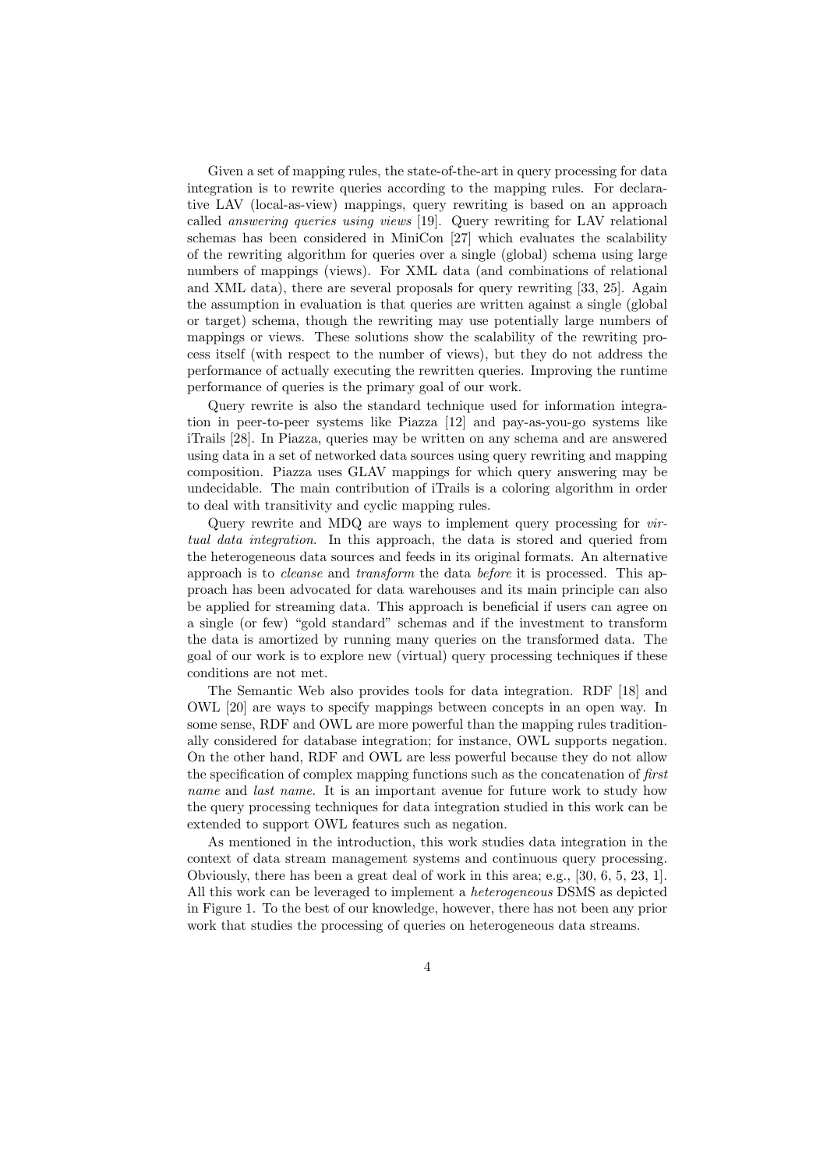Given a set of mapping rules, the state-of-the-art in query processing for data integration is to rewrite queries according to the mapping rules. For declarative LAV (local-as-view) mappings, query rewriting is based on an approach called answering queries using views [19]. Query rewriting for LAV relational schemas has been considered in MiniCon [27] which evaluates the scalability of the rewriting algorithm for queries over a single (global) schema using large numbers of mappings (views). For XML data (and combinations of relational and XML data), there are several proposals for query rewriting [33, 25]. Again the assumption in evaluation is that queries are written against a single (global or target) schema, though the rewriting may use potentially large numbers of mappings or views. These solutions show the scalability of the rewriting process itself (with respect to the number of views), but they do not address the performance of actually executing the rewritten queries. Improving the runtime performance of queries is the primary goal of our work.

Query rewrite is also the standard technique used for information integration in peer-to-peer systems like Piazza [12] and pay-as-you-go systems like iTrails [28]. In Piazza, queries may be written on any schema and are answered using data in a set of networked data sources using query rewriting and mapping composition. Piazza uses GLAV mappings for which query answering may be undecidable. The main contribution of iTrails is a coloring algorithm in order to deal with transitivity and cyclic mapping rules.

Query rewrite and MDQ are ways to implement query processing for *vir*tual data integration. In this approach, the data is stored and queried from the heterogeneous data sources and feeds in its original formats. An alternative approach is to cleanse and transform the data before it is processed. This approach has been advocated for data warehouses and its main principle can also be applied for streaming data. This approach is beneficial if users can agree on a single (or few) "gold standard" schemas and if the investment to transform the data is amortized by running many queries on the transformed data. The goal of our work is to explore new (virtual) query processing techniques if these conditions are not met.

The Semantic Web also provides tools for data integration. RDF [18] and OWL [20] are ways to specify mappings between concepts in an open way. In some sense, RDF and OWL are more powerful than the mapping rules traditionally considered for database integration; for instance, OWL supports negation. On the other hand, RDF and OWL are less powerful because they do not allow the specification of complex mapping functions such as the concatenation of first name and last name. It is an important avenue for future work to study how the query processing techniques for data integration studied in this work can be extended to support OWL features such as negation.

As mentioned in the introduction, this work studies data integration in the context of data stream management systems and continuous query processing. Obviously, there has been a great deal of work in this area; e.g., [30, 6, 5, 23, 1]. All this work can be leveraged to implement a heterogeneous DSMS as depicted in Figure 1. To the best of our knowledge, however, there has not been any prior work that studies the processing of queries on heterogeneous data streams.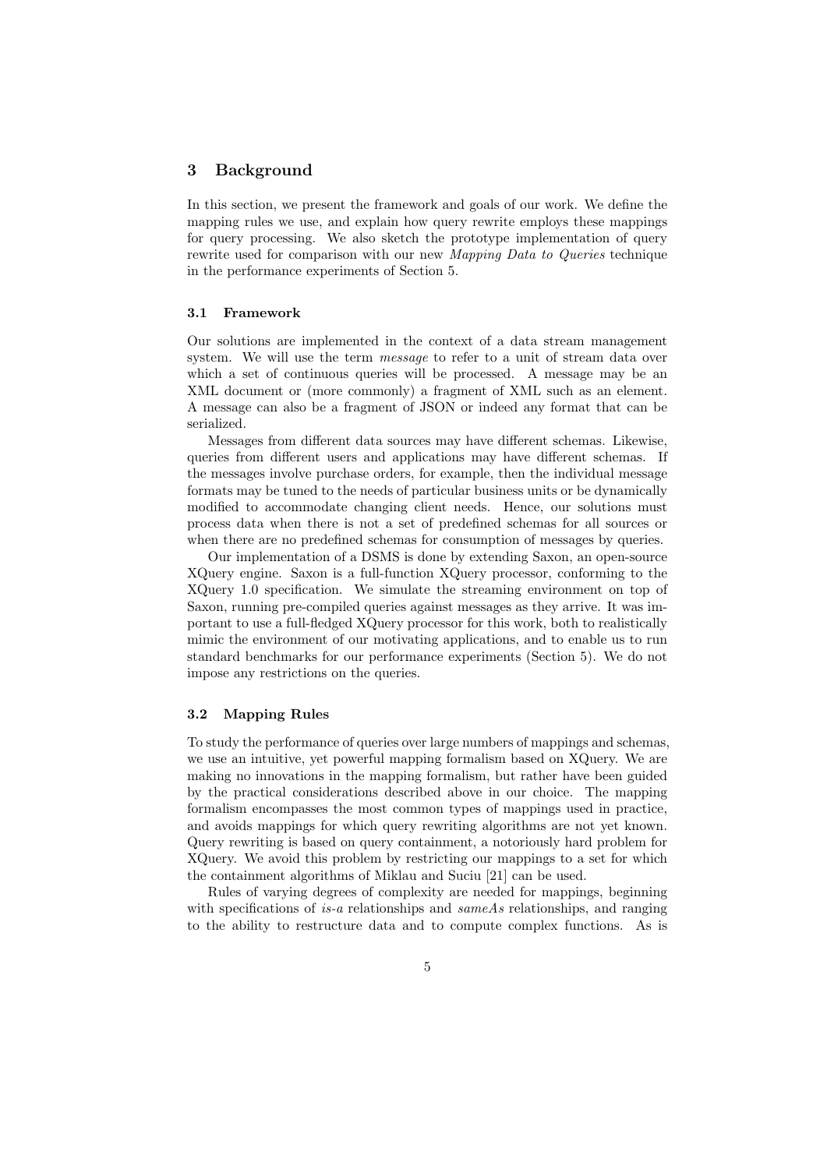## 3 Background

In this section, we present the framework and goals of our work. We define the mapping rules we use, and explain how query rewrite employs these mappings for query processing. We also sketch the prototype implementation of query rewrite used for comparison with our new Mapping Data to Queries technique in the performance experiments of Section 5.

#### 3.1 Framework

Our solutions are implemented in the context of a data stream management system. We will use the term *message* to refer to a unit of stream data over which a set of continuous queries will be processed. A message may be an XML document or (more commonly) a fragment of XML such as an element. A message can also be a fragment of JSON or indeed any format that can be serialized.

Messages from different data sources may have different schemas. Likewise, queries from different users and applications may have different schemas. If the messages involve purchase orders, for example, then the individual message formats may be tuned to the needs of particular business units or be dynamically modified to accommodate changing client needs. Hence, our solutions must process data when there is not a set of predefined schemas for all sources or when there are no predefined schemas for consumption of messages by queries.

Our implementation of a DSMS is done by extending Saxon, an open-source XQuery engine. Saxon is a full-function XQuery processor, conforming to the XQuery 1.0 specification. We simulate the streaming environment on top of Saxon, running pre-compiled queries against messages as they arrive. It was important to use a full-fledged XQuery processor for this work, both to realistically mimic the environment of our motivating applications, and to enable us to run standard benchmarks for our performance experiments (Section 5). We do not impose any restrictions on the queries.

#### 3.2 Mapping Rules

To study the performance of queries over large numbers of mappings and schemas, we use an intuitive, yet powerful mapping formalism based on XQuery. We are making no innovations in the mapping formalism, but rather have been guided by the practical considerations described above in our choice. The mapping formalism encompasses the most common types of mappings used in practice, and avoids mappings for which query rewriting algorithms are not yet known. Query rewriting is based on query containment, a notoriously hard problem for XQuery. We avoid this problem by restricting our mappings to a set for which the containment algorithms of Miklau and Suciu [21] can be used.

Rules of varying degrees of complexity are needed for mappings, beginning with specifications of is-a relationships and same As relationships, and ranging to the ability to restructure data and to compute complex functions. As is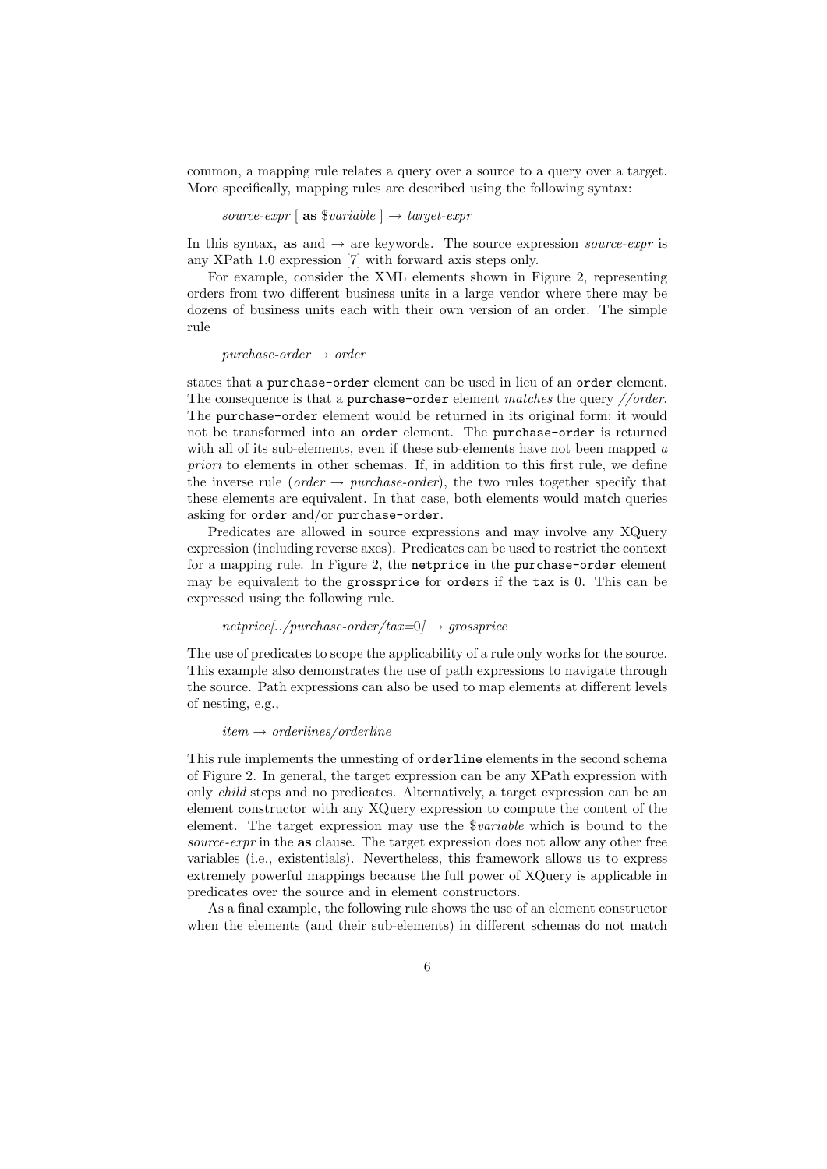common, a mapping rule relates a query over a source to a query over a target. More specifically, mapping rules are described using the following syntax:

source-expr [ as  $$variable$  ]  $\rightarrow$  target-expr

In this syntax, as and  $\rightarrow$  are keywords. The source expression *source-expr* is any XPath 1.0 expression [7] with forward axis steps only.

For example, consider the XML elements shown in Figure 2, representing orders from two different business units in a large vendor where there may be dozens of business units each with their own version of an order. The simple rule

#### $purehase-order \rightarrow order$

states that a purchase-order element can be used in lieu of an order element. The consequence is that a purchase-order element matches the query  $// order$ . The purchase-order element would be returned in its original form; it would not be transformed into an order element. The purchase-order is returned with all of its sub-elements, even if these sub-elements have not been mapped a priori to elements in other schemas. If, in addition to this first rule, we define the inverse rule (*order*  $\rightarrow$  *purchase-order*), the two rules together specify that these elements are equivalent. In that case, both elements would match queries asking for order and/or purchase-order.

Predicates are allowed in source expressions and may involve any XQuery expression (including reverse axes). Predicates can be used to restrict the context for a mapping rule. In Figure 2, the netprice in the purchase-order element may be equivalent to the grossprice for orders if the tax is 0. This can be expressed using the following rule.

#### $netprice[../purehase-order/tax=0] \rightarrow grossprice$

The use of predicates to scope the applicability of a rule only works for the source. This example also demonstrates the use of path expressions to navigate through the source. Path expressions can also be used to map elements at different levels of nesting, e.g.,

#### $item \rightarrow orderlines/orderline$

This rule implements the unnesting of orderline elements in the second schema of Figure 2. In general, the target expression can be any XPath expression with only child steps and no predicates. Alternatively, a target expression can be an element constructor with any XQuery expression to compute the content of the element. The target expression may use the \$variable which is bound to the source-expr in the as clause. The target expression does not allow any other free variables (i.e., existentials). Nevertheless, this framework allows us to express extremely powerful mappings because the full power of XQuery is applicable in predicates over the source and in element constructors.

As a final example, the following rule shows the use of an element constructor when the elements (and their sub-elements) in different schemas do not match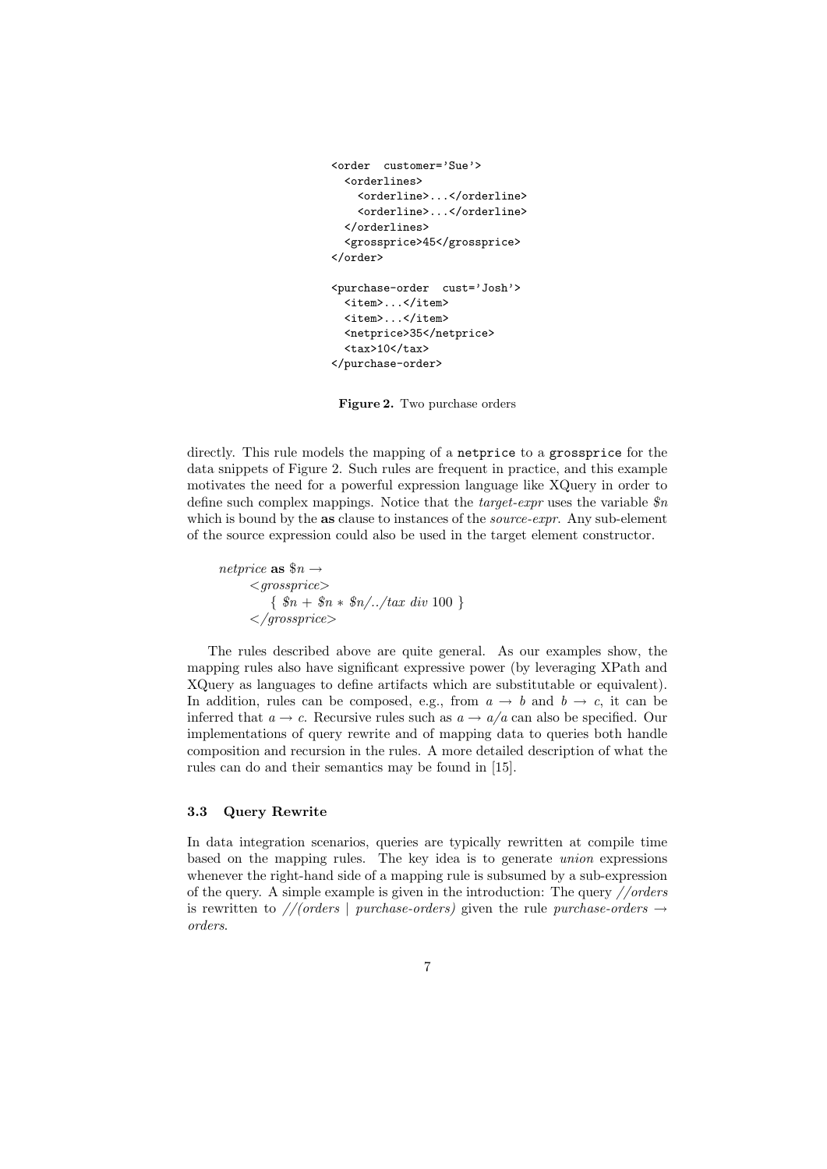```
<order customer='Sue'>
  <orderlines>
    <orderline>...</orderline>
    <orderline>...</orderline>
  </orderlines>
  <grossprice>45</grossprice>
</order>
<purchase-order cust='Josh'>
  <item>...</item>
  <item>...</item>
  <netprice>35</netprice>
  \timestax>10 </tax>
</purchase-order>
```
Figure 2. Two purchase orders

directly. This rule models the mapping of a netprice to a grossprice for the data snippets of Figure 2. Such rules are frequent in practice, and this example motivates the need for a powerful expression language like XQuery in order to define such complex mappings. Notice that the *target-expr* uses the variable  $\mathcal{S}_n$ which is bound by the as clause to instances of the *source-expr*. Any sub-element of the source expression could also be used in the target element constructor.

netprice as  $\$\hat{n}\to$  $\langle \textit{qrossover} \rangle$  $\{ \$   $\$n + \$n * \$n/../tax\ div\ 100 \}$  $\langle$ /qrossprice>

The rules described above are quite general. As our examples show, the mapping rules also have significant expressive power (by leveraging XPath and XQuery as languages to define artifacts which are substitutable or equivalent). In addition, rules can be composed, e.g., from  $a \to b$  and  $b \to c$ , it can be inferred that  $a \to c$ . Recursive rules such as  $a \to a/a$  can also be specified. Our implementations of query rewrite and of mapping data to queries both handle composition and recursion in the rules. A more detailed description of what the rules can do and their semantics may be found in [15].

## 3.3 Query Rewrite

In data integration scenarios, queries are typically rewritten at compile time based on the mapping rules. The key idea is to generate union expressions whenever the right-hand side of a mapping rule is subsumed by a sub-expression of the query. A simple example is given in the introduction: The query  $//orders$ is rewritten to //(orders | purchase-orders) given the rule purchase-orders  $\rightarrow$ orders.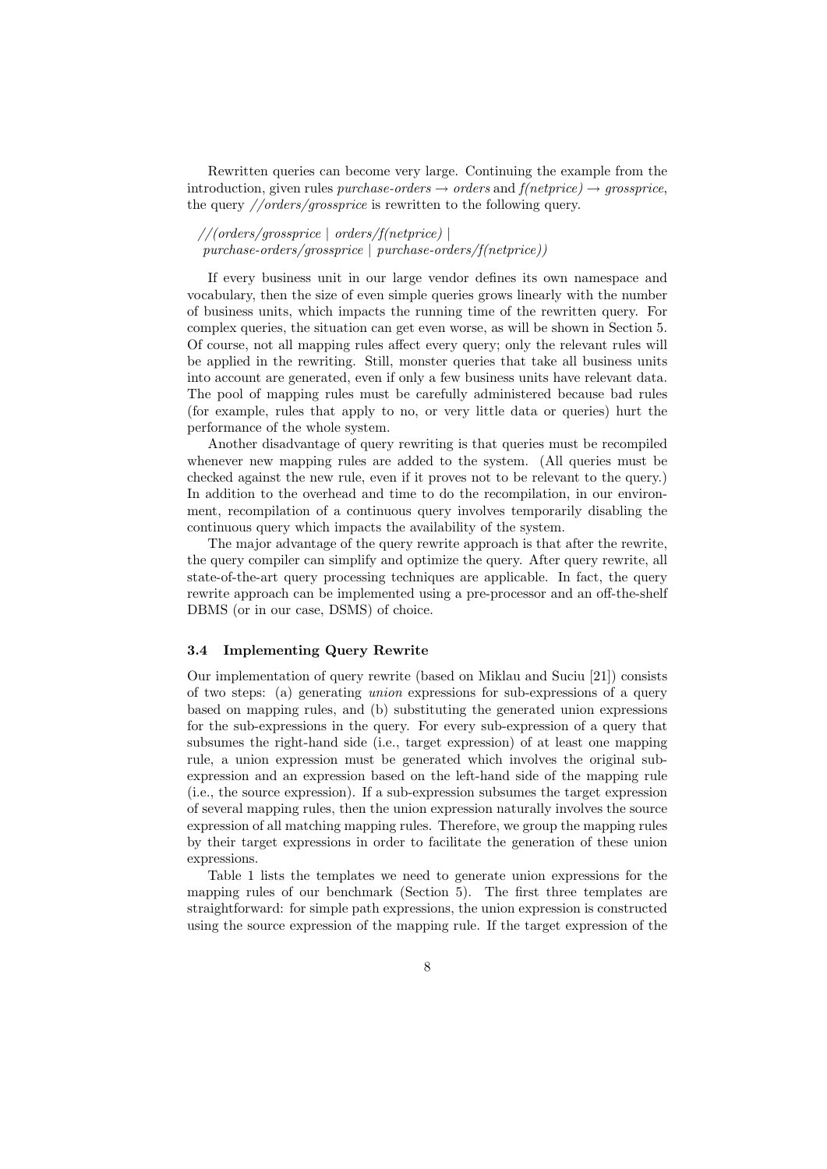Rewritten queries can become very large. Continuing the example from the introduction, given rules purchase-orders  $\rightarrow$  orders and  $f(netprice) \rightarrow grossprice$ , the query //orders/grossprice is rewritten to the following query.

//(orders/grossprice | orders/f(netprice) | purchase-orders/grossprice | purchase-orders/f(netprice))

If every business unit in our large vendor defines its own namespace and vocabulary, then the size of even simple queries grows linearly with the number of business units, which impacts the running time of the rewritten query. For complex queries, the situation can get even worse, as will be shown in Section 5. Of course, not all mapping rules affect every query; only the relevant rules will be applied in the rewriting. Still, monster queries that take all business units into account are generated, even if only a few business units have relevant data. The pool of mapping rules must be carefully administered because bad rules (for example, rules that apply to no, or very little data or queries) hurt the performance of the whole system.

Another disadvantage of query rewriting is that queries must be recompiled whenever new mapping rules are added to the system. (All queries must be checked against the new rule, even if it proves not to be relevant to the query.) In addition to the overhead and time to do the recompilation, in our environment, recompilation of a continuous query involves temporarily disabling the continuous query which impacts the availability of the system.

The major advantage of the query rewrite approach is that after the rewrite, the query compiler can simplify and optimize the query. After query rewrite, all state-of-the-art query processing techniques are applicable. In fact, the query rewrite approach can be implemented using a pre-processor and an off-the-shelf DBMS (or in our case, DSMS) of choice.

#### 3.4 Implementing Query Rewrite

Our implementation of query rewrite (based on Miklau and Suciu [21]) consists of two steps: (a) generating union expressions for sub-expressions of a query based on mapping rules, and (b) substituting the generated union expressions for the sub-expressions in the query. For every sub-expression of a query that subsumes the right-hand side (i.e., target expression) of at least one mapping rule, a union expression must be generated which involves the original subexpression and an expression based on the left-hand side of the mapping rule (i.e., the source expression). If a sub-expression subsumes the target expression of several mapping rules, then the union expression naturally involves the source expression of all matching mapping rules. Therefore, we group the mapping rules by their target expressions in order to facilitate the generation of these union expressions.

Table 1 lists the templates we need to generate union expressions for the mapping rules of our benchmark (Section 5). The first three templates are straightforward: for simple path expressions, the union expression is constructed using the source expression of the mapping rule. If the target expression of the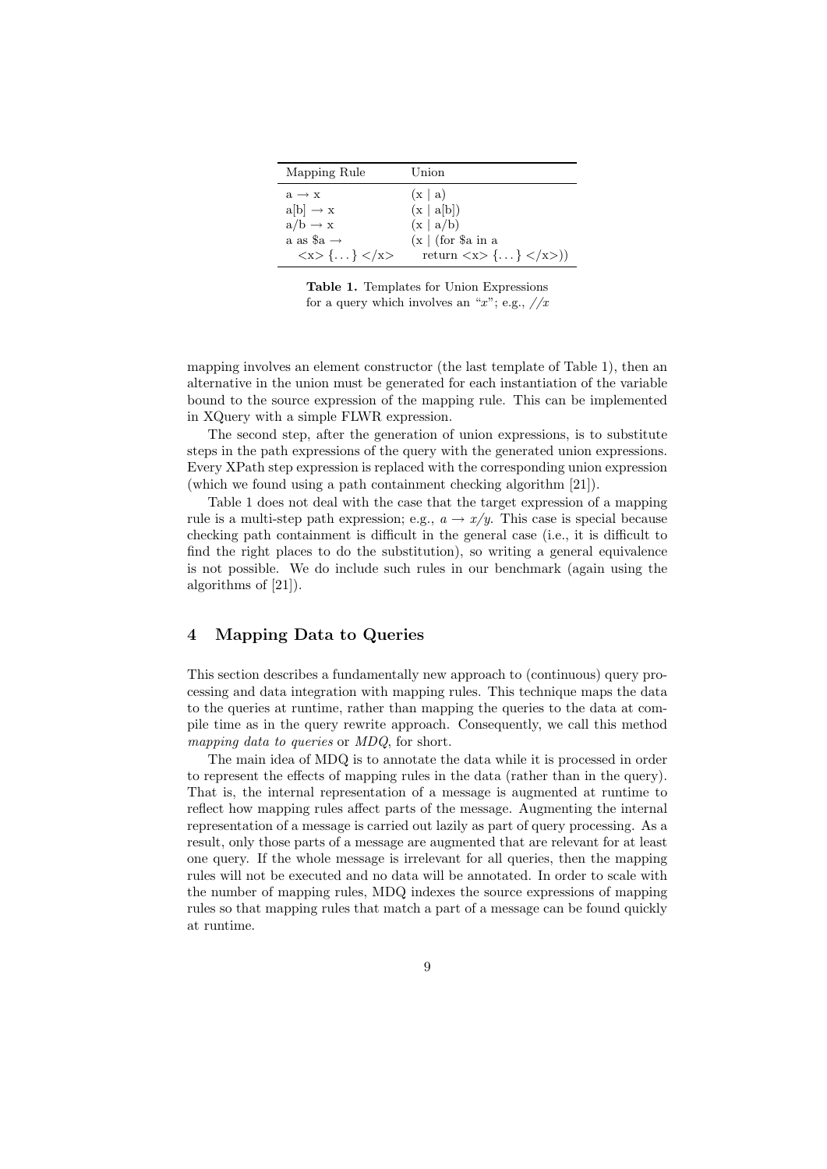| Mapping Rule                                        | Union                                               |
|-----------------------------------------------------|-----------------------------------------------------|
| $a \rightarrow x$                                   | (x   a)                                             |
| $a[b] \rightarrow x$                                | (x   a[b])                                          |
| $a/b \rightarrow x$                                 | (x   a/b)                                           |
| a as \$a $\rightarrow$                              | $(x \mid (\text{for } \$\text{a in a})$             |
| $\langle x \rangle$ $\{ \dots \} \langle x \rangle$ | return $\langle x \rangle$ {} $\langle x \rangle$ } |

Table 1. Templates for Union Expressions for a query which involves an "x"; e.g.,  $//x$ 

mapping involves an element constructor (the last template of Table 1), then an alternative in the union must be generated for each instantiation of the variable bound to the source expression of the mapping rule. This can be implemented in XQuery with a simple FLWR expression.

The second step, after the generation of union expressions, is to substitute steps in the path expressions of the query with the generated union expressions. Every XPath step expression is replaced with the corresponding union expression (which we found using a path containment checking algorithm [21]).

Table 1 does not deal with the case that the target expression of a mapping rule is a multi-step path expression; e.g.,  $a \rightarrow x/y$ . This case is special because checking path containment is difficult in the general case (i.e., it is difficult to find the right places to do the substitution), so writing a general equivalence is not possible. We do include such rules in our benchmark (again using the algorithms of [21]).

## 4 Mapping Data to Queries

This section describes a fundamentally new approach to (continuous) query processing and data integration with mapping rules. This technique maps the data to the queries at runtime, rather than mapping the queries to the data at compile time as in the query rewrite approach. Consequently, we call this method mapping data to queries or MDQ, for short.

The main idea of MDQ is to annotate the data while it is processed in order to represent the effects of mapping rules in the data (rather than in the query). That is, the internal representation of a message is augmented at runtime to reflect how mapping rules affect parts of the message. Augmenting the internal representation of a message is carried out lazily as part of query processing. As a result, only those parts of a message are augmented that are relevant for at least one query. If the whole message is irrelevant for all queries, then the mapping rules will not be executed and no data will be annotated. In order to scale with the number of mapping rules, MDQ indexes the source expressions of mapping rules so that mapping rules that match a part of a message can be found quickly at runtime.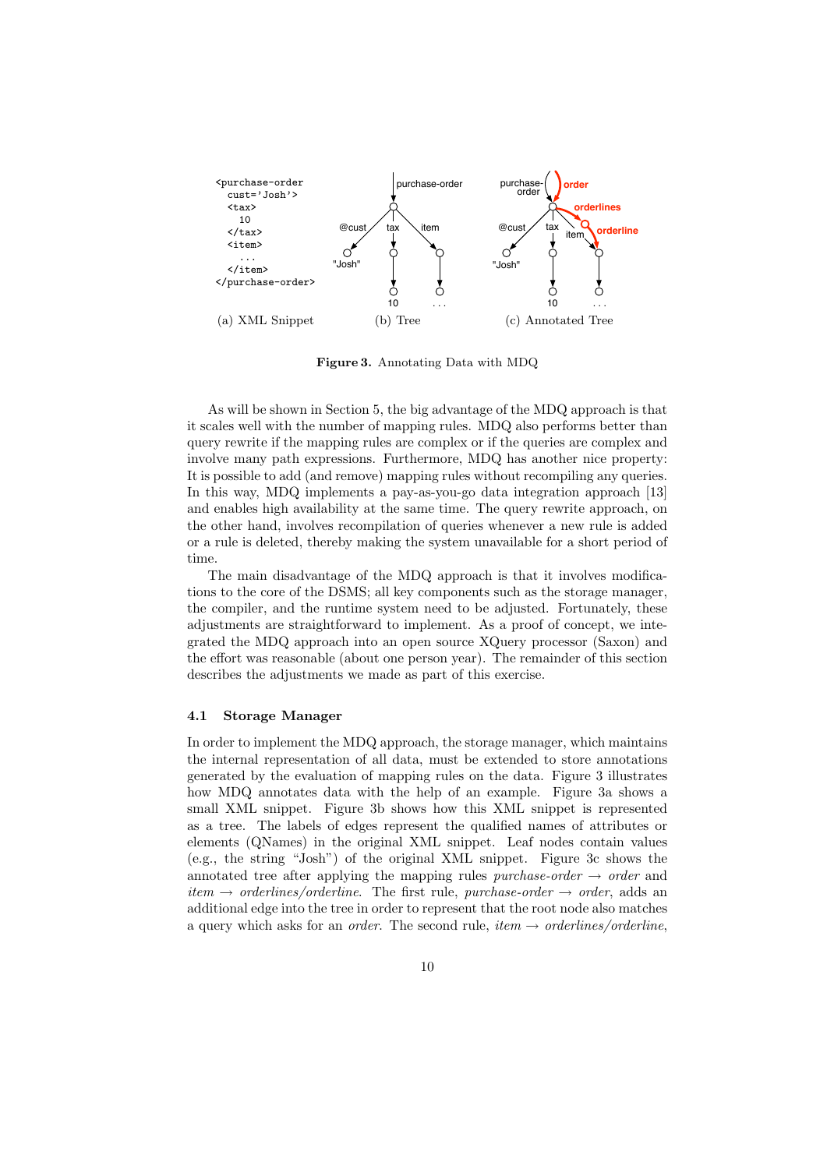

Figure 3. Annotating Data with MDQ

As will be shown in Section 5, the big advantage of the MDQ approach is that it scales well with the number of mapping rules. MDQ also performs better than query rewrite if the mapping rules are complex or if the queries are complex and involve many path expressions. Furthermore, MDQ has another nice property: It is possible to add (and remove) mapping rules without recompiling any queries. In this way, MDQ implements a pay-as-you-go data integration approach [13] and enables high availability at the same time. The query rewrite approach, on the other hand, involves recompilation of queries whenever a new rule is added or a rule is deleted, thereby making the system unavailable for a short period of time.

The main disadvantage of the MDQ approach is that it involves modifications to the core of the DSMS; all key components such as the storage manager, the compiler, and the runtime system need to be adjusted. Fortunately, these adjustments are straightforward to implement. As a proof of concept, we integrated the MDQ approach into an open source XQuery processor (Saxon) and the effort was reasonable (about one person year). The remainder of this section describes the adjustments we made as part of this exercise.

#### 4.1 Storage Manager

In order to implement the MDQ approach, the storage manager, which maintains the internal representation of all data, must be extended to store annotations generated by the evaluation of mapping rules on the data. Figure 3 illustrates how MDQ annotates data with the help of an example. Figure 3a shows a small XML snippet. Figure 3b shows how this XML snippet is represented as a tree. The labels of edges represent the qualified names of attributes or elements (QNames) in the original XML snippet. Leaf nodes contain values (e.g., the string "Josh") of the original XML snippet. Figure 3c shows the annotated tree after applying the mapping rules purchase-order  $\rightarrow$  order and  $item \rightarrow orderlines/orderline.$  The first rule, purchase-order  $\rightarrow order$ , adds an additional edge into the tree in order to represent that the root node also matches a query which asks for an *order*. The second rule, *item*  $\rightarrow$  *orderlines/orderline*,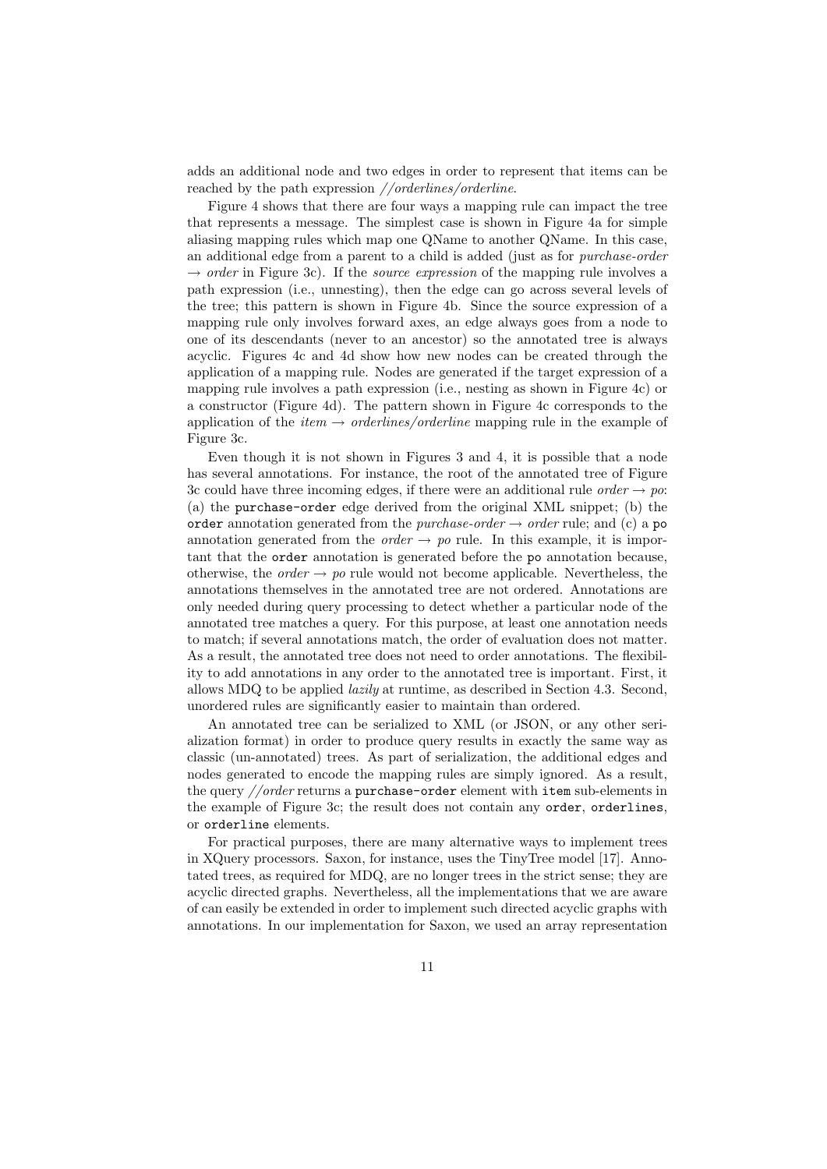adds an additional node and two edges in order to represent that items can be reached by the path expression //orderlines/orderline.

Figure 4 shows that there are four ways a mapping rule can impact the tree that represents a message. The simplest case is shown in Figure 4a for simple aliasing mapping rules which map one QName to another QName. In this case, an additional edge from a parent to a child is added (just as for purchase-order  $\rightarrow$  order in Figure 3c). If the *source expression* of the mapping rule involves a path expression (i.e., unnesting), then the edge can go across several levels of the tree; this pattern is shown in Figure 4b. Since the source expression of a mapping rule only involves forward axes, an edge always goes from a node to one of its descendants (never to an ancestor) so the annotated tree is always acyclic. Figures 4c and 4d show how new nodes can be created through the application of a mapping rule. Nodes are generated if the target expression of a mapping rule involves a path expression (i.e., nesting as shown in Figure 4c) or a constructor (Figure 4d). The pattern shown in Figure 4c corresponds to the application of the *item*  $\rightarrow$  *orderlines/orderline* mapping rule in the example of Figure 3c.

Even though it is not shown in Figures 3 and 4, it is possible that a node has several annotations. For instance, the root of the annotated tree of Figure 3c could have three incoming edges, if there were an additional rule *order*  $\rightarrow$  po: (a) the purchase-order edge derived from the original XML snippet; (b) the order annotation generated from the *purchase-order*  $\rightarrow$  *order* rule; and (c) a po annotation generated from the *order*  $\rightarrow$  po rule. In this example, it is important that the order annotation is generated before the po annotation because, otherwise, the *order*  $\rightarrow$  po rule would not become applicable. Nevertheless, the annotations themselves in the annotated tree are not ordered. Annotations are only needed during query processing to detect whether a particular node of the annotated tree matches a query. For this purpose, at least one annotation needs to match; if several annotations match, the order of evaluation does not matter. As a result, the annotated tree does not need to order annotations. The flexibility to add annotations in any order to the annotated tree is important. First, it allows MDQ to be applied lazily at runtime, as described in Section 4.3. Second, unordered rules are significantly easier to maintain than ordered.

An annotated tree can be serialized to XML (or JSON, or any other serialization format) in order to produce query results in exactly the same way as classic (un-annotated) trees. As part of serialization, the additional edges and nodes generated to encode the mapping rules are simply ignored. As a result, the query //order returns a purchase-order element with item sub-elements in the example of Figure 3c; the result does not contain any order, orderlines, or orderline elements.

For practical purposes, there are many alternative ways to implement trees in XQuery processors. Saxon, for instance, uses the TinyTree model [17]. Annotated trees, as required for MDQ, are no longer trees in the strict sense; they are acyclic directed graphs. Nevertheless, all the implementations that we are aware of can easily be extended in order to implement such directed acyclic graphs with annotations. In our implementation for Saxon, we used an array representation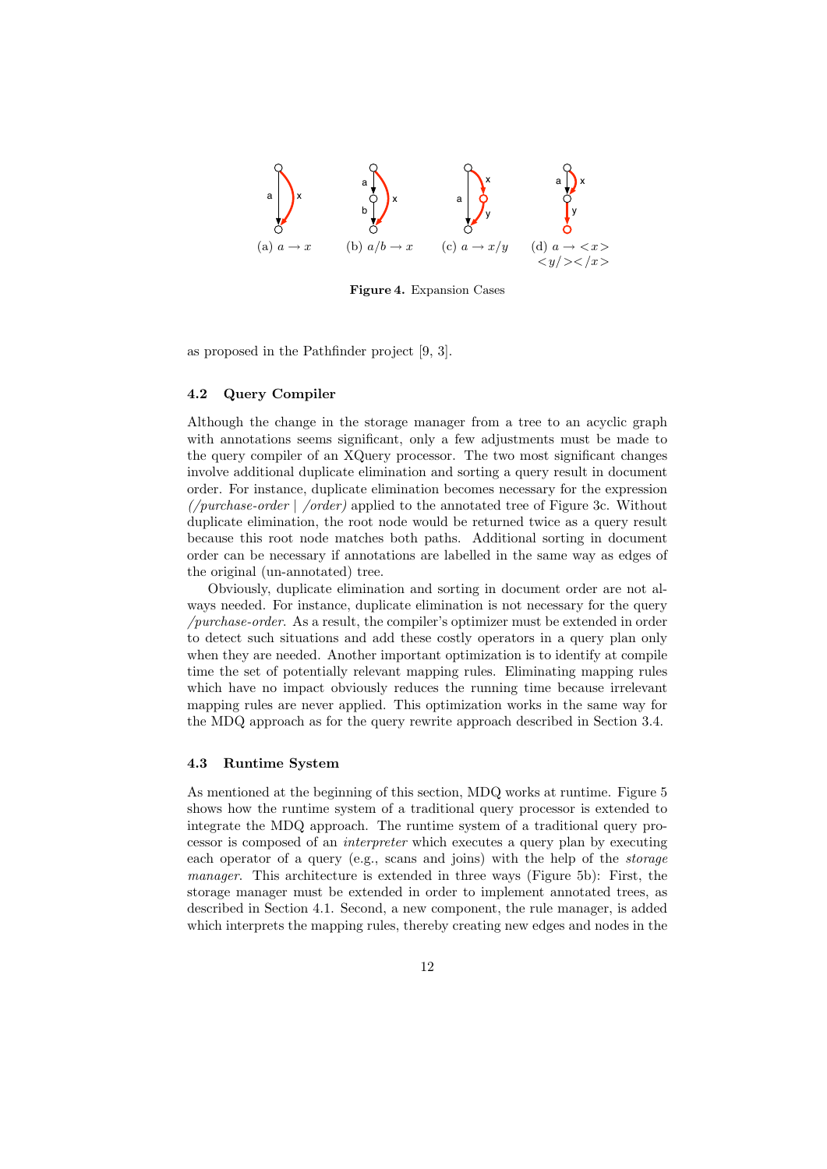

Figure 4. Expansion Cases

as proposed in the Pathfinder project [9, 3].

#### 4.2 Query Compiler

Although the change in the storage manager from a tree to an acyclic graph with annotations seems significant, only a few adjustments must be made to the query compiler of an XQuery processor. The two most significant changes involve additional duplicate elimination and sorting a query result in document order. For instance, duplicate elimination becomes necessary for the expression  $\ell$ urchase-order  $\ell$  /order) applied to the annotated tree of Figure 3c. Without duplicate elimination, the root node would be returned twice as a query result because this root node matches both paths. Additional sorting in document order can be necessary if annotations are labelled in the same way as edges of the original (un-annotated) tree.

Obviously, duplicate elimination and sorting in document order are not always needed. For instance, duplicate elimination is not necessary for the query /purchase-order. As a result, the compiler's optimizer must be extended in order to detect such situations and add these costly operators in a query plan only when they are needed. Another important optimization is to identify at compile time the set of potentially relevant mapping rules. Eliminating mapping rules which have no impact obviously reduces the running time because irrelevant mapping rules are never applied. This optimization works in the same way for the MDQ approach as for the query rewrite approach described in Section 3.4.

### 4.3 Runtime System

As mentioned at the beginning of this section, MDQ works at runtime. Figure 5 shows how the runtime system of a traditional query processor is extended to integrate the MDQ approach. The runtime system of a traditional query processor is composed of an interpreter which executes a query plan by executing each operator of a query (e.g., scans and joins) with the help of the storage manager. This architecture is extended in three ways (Figure 5b): First, the storage manager must be extended in order to implement annotated trees, as described in Section 4.1. Second, a new component, the rule manager, is added which interprets the mapping rules, thereby creating new edges and nodes in the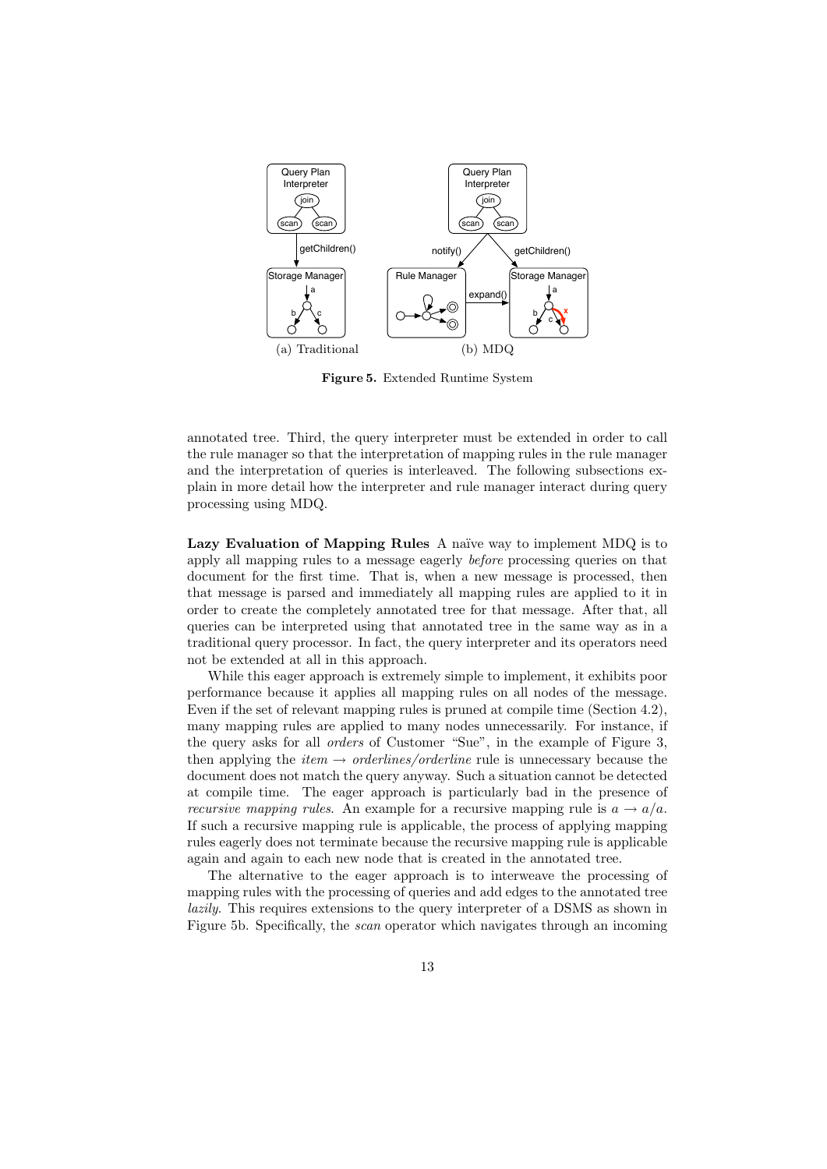

Figure 5. Extended Runtime System

annotated tree. Third, the query interpreter must be extended in order to call the rule manager so that the interpretation of mapping rules in the rule manager and the interpretation of queries is interleaved. The following subsections explain in more detail how the interpreter and rule manager interact during query processing using MDQ.

Lazy Evaluation of Mapping Rules A naïve way to implement MDQ is to apply all mapping rules to a message eagerly before processing queries on that document for the first time. That is, when a new message is processed, then that message is parsed and immediately all mapping rules are applied to it in order to create the completely annotated tree for that message. After that, all queries can be interpreted using that annotated tree in the same way as in a traditional query processor. In fact, the query interpreter and its operators need not be extended at all in this approach.

While this eager approach is extremely simple to implement, it exhibits poor performance because it applies all mapping rules on all nodes of the message. Even if the set of relevant mapping rules is pruned at compile time (Section 4.2), many mapping rules are applied to many nodes unnecessarily. For instance, if the query asks for all orders of Customer "Sue", in the example of Figure 3, then applying the *item*  $\rightarrow$  *orderlines/orderline* rule is unnecessary because the document does not match the query anyway. Such a situation cannot be detected at compile time. The eager approach is particularly bad in the presence of *recursive mapping rules.* An example for a recursive mapping rule is  $a \rightarrow a/a$ . If such a recursive mapping rule is applicable, the process of applying mapping rules eagerly does not terminate because the recursive mapping rule is applicable again and again to each new node that is created in the annotated tree.

The alternative to the eager approach is to interweave the processing of mapping rules with the processing of queries and add edges to the annotated tree lazily. This requires extensions to the query interpreter of a DSMS as shown in Figure 5b. Specifically, the scan operator which navigates through an incoming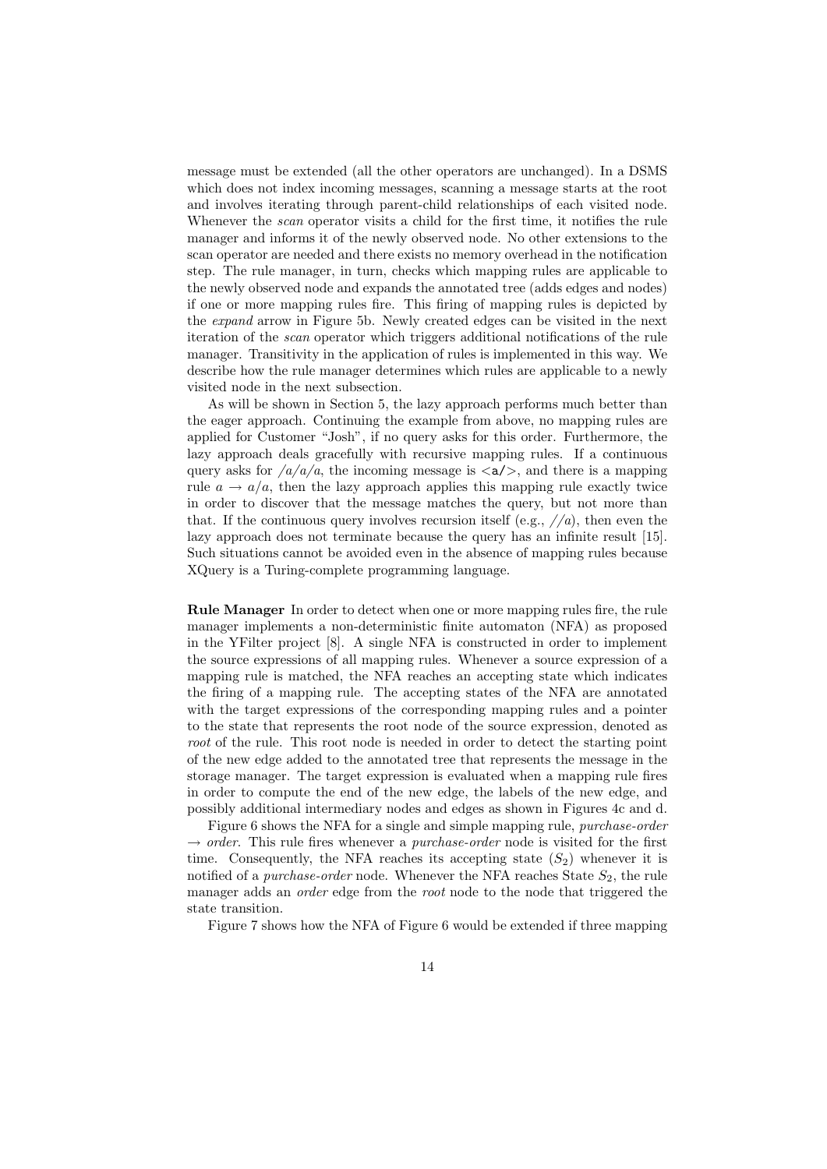message must be extended (all the other operators are unchanged). In a DSMS which does not index incoming messages, scanning a message starts at the root and involves iterating through parent-child relationships of each visited node. Whenever the *scan* operator visits a child for the first time, it notifies the rule manager and informs it of the newly observed node. No other extensions to the scan operator are needed and there exists no memory overhead in the notification step. The rule manager, in turn, checks which mapping rules are applicable to the newly observed node and expands the annotated tree (adds edges and nodes) if one or more mapping rules fire. This firing of mapping rules is depicted by the expand arrow in Figure 5b. Newly created edges can be visited in the next iteration of the scan operator which triggers additional notifications of the rule manager. Transitivity in the application of rules is implemented in this way. We describe how the rule manager determines which rules are applicable to a newly visited node in the next subsection.

As will be shown in Section 5, the lazy approach performs much better than the eager approach. Continuing the example from above, no mapping rules are applied for Customer "Josh", if no query asks for this order. Furthermore, the lazy approach deals gracefully with recursive mapping rules. If a continuous query asks for  $\sqrt{a/a/a}$ , the incoming message is  $\langle a/\rangle$ , and there is a mapping rule  $a \rightarrow a/a$ , then the lazy approach applies this mapping rule exactly twice in order to discover that the message matches the query, but not more than that. If the continuous query involves recursion itself (e.g.,  $\frac{1}{a}$ ), then even the lazy approach does not terminate because the query has an infinite result [15]. Such situations cannot be avoided even in the absence of mapping rules because XQuery is a Turing-complete programming language.

Rule Manager In order to detect when one or more mapping rules fire, the rule manager implements a non-deterministic finite automaton (NFA) as proposed in the YFilter project [8]. A single NFA is constructed in order to implement the source expressions of all mapping rules. Whenever a source expression of a mapping rule is matched, the NFA reaches an accepting state which indicates the firing of a mapping rule. The accepting states of the NFA are annotated with the target expressions of the corresponding mapping rules and a pointer to the state that represents the root node of the source expression, denoted as root of the rule. This root node is needed in order to detect the starting point of the new edge added to the annotated tree that represents the message in the storage manager. The target expression is evaluated when a mapping rule fires in order to compute the end of the new edge, the labels of the new edge, and possibly additional intermediary nodes and edges as shown in Figures 4c and d.

Figure 6 shows the NFA for a single and simple mapping rule, purchase-order  $\rightarrow$  order. This rule fires whenever a *purchase-order* node is visited for the first time. Consequently, the NFA reaches its accepting state  $(S_2)$  whenever it is notified of a *purchase-order* node. Whenever the NFA reaches State  $S_2$ , the rule manager adds an *order* edge from the *root* node to the node that triggered the state transition.

Figure 7 shows how the NFA of Figure 6 would be extended if three mapping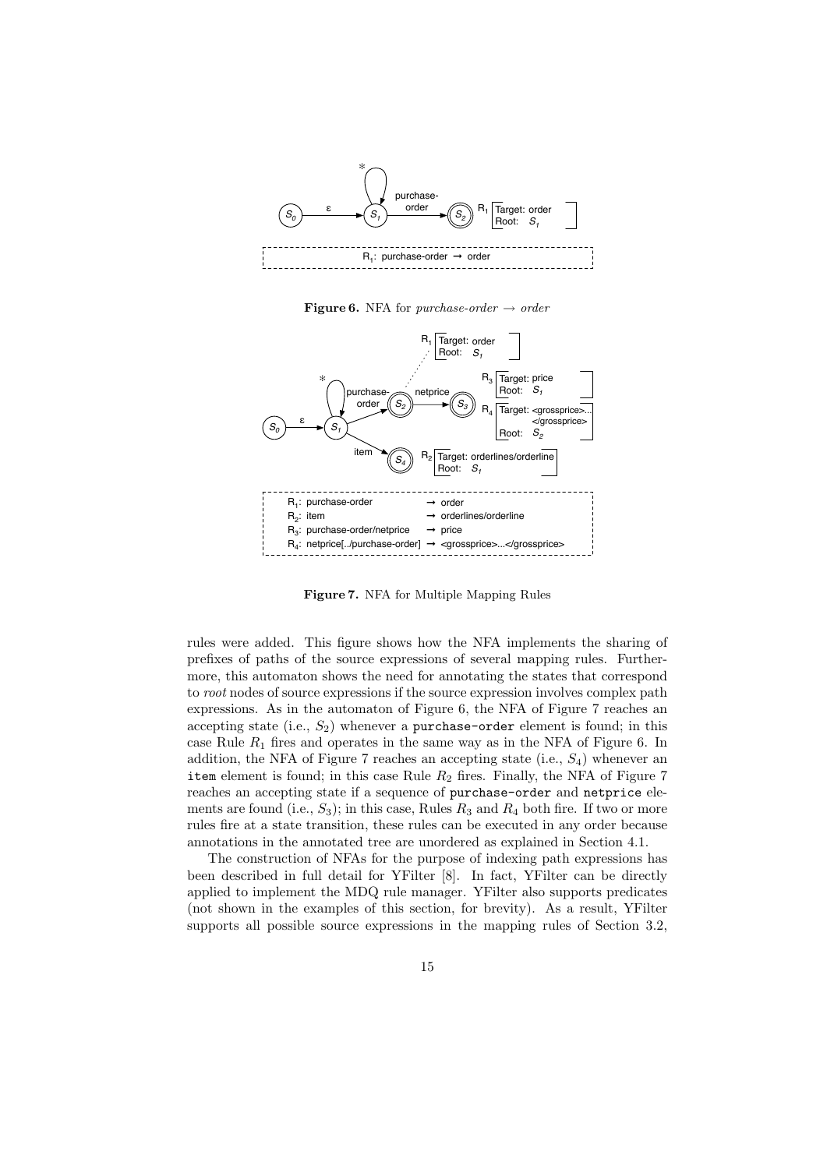

**Figure 6.** NFA for *purchase-order*  $\rightarrow$  *order* 



Figure 7. NFA for Multiple Mapping Rules

rules were added. This figure shows how the NFA implements the sharing of prefixes of paths of the source expressions of several mapping rules. Furthermore, this automaton shows the need for annotating the states that correspond to root nodes of source expressions if the source expression involves complex path expressions. As in the automaton of Figure 6, the NFA of Figure 7 reaches an accepting state (i.e.,  $S_2$ ) whenever a purchase-order element is found; in this case Rule  $R_1$  fires and operates in the same way as in the NFA of Figure 6. In addition, the NFA of Figure 7 reaches an accepting state (i.e.,  $S_4$ ) whenever an item element is found; in this case Rule  $R_2$  fires. Finally, the NFA of Figure 7 reaches an accepting state if a sequence of purchase-order and netprice elements are found (i.e.,  $S_3$ ); in this case, Rules  $R_3$  and  $R_4$  both fire. If two or more rules fire at a state transition, these rules can be executed in any order because annotations in the annotated tree are unordered as explained in Section 4.1.

The construction of NFAs for the purpose of indexing path expressions has been described in full detail for YFilter [8]. In fact, YFilter can be directly applied to implement the MDQ rule manager. YFilter also supports predicates (not shown in the examples of this section, for brevity). As a result, YFilter supports all possible source expressions in the mapping rules of Section 3.2,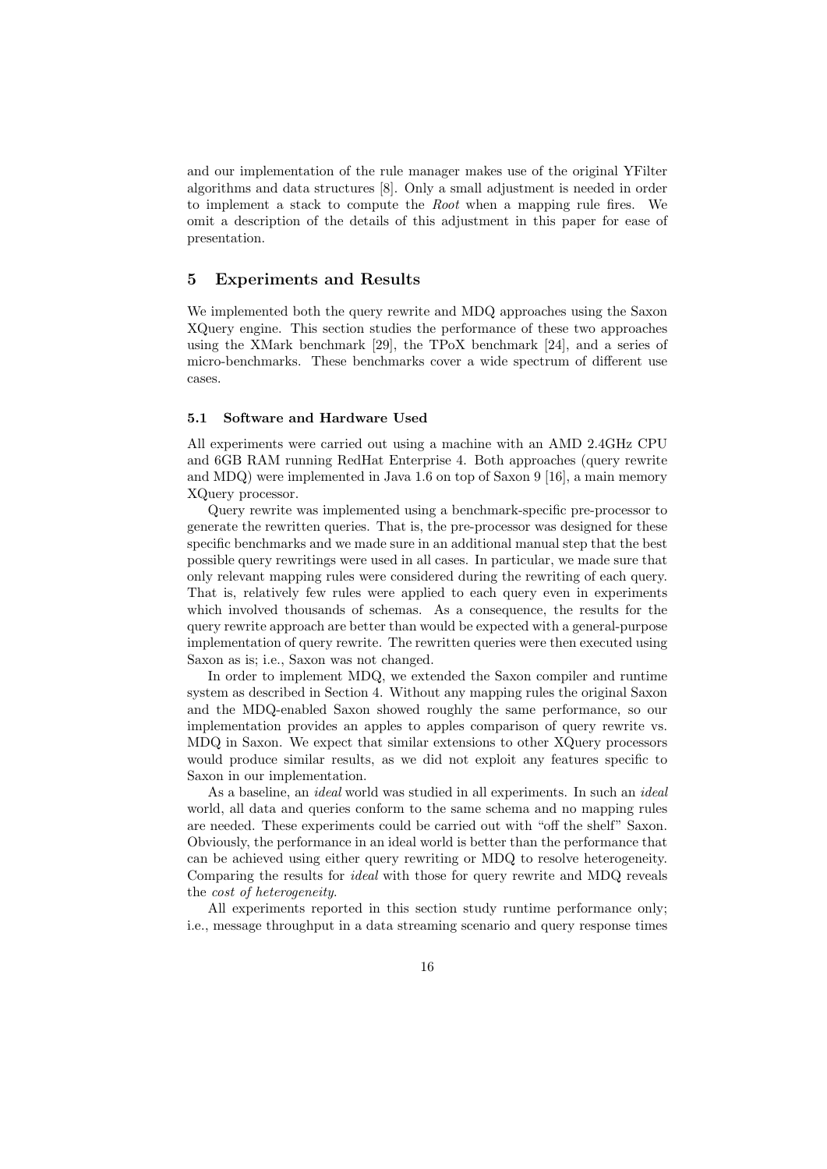and our implementation of the rule manager makes use of the original YFilter algorithms and data structures [8]. Only a small adjustment is needed in order to implement a stack to compute the Root when a mapping rule fires. We omit a description of the details of this adjustment in this paper for ease of presentation.

## 5 Experiments and Results

We implemented both the query rewrite and MDQ approaches using the Saxon XQuery engine. This section studies the performance of these two approaches using the XMark benchmark [29], the TPoX benchmark [24], and a series of micro-benchmarks. These benchmarks cover a wide spectrum of different use cases.

## 5.1 Software and Hardware Used

All experiments were carried out using a machine with an AMD 2.4GHz CPU and 6GB RAM running RedHat Enterprise 4. Both approaches (query rewrite and MDQ) were implemented in Java 1.6 on top of Saxon 9 [16], a main memory XQuery processor.

Query rewrite was implemented using a benchmark-specific pre-processor to generate the rewritten queries. That is, the pre-processor was designed for these specific benchmarks and we made sure in an additional manual step that the best possible query rewritings were used in all cases. In particular, we made sure that only relevant mapping rules were considered during the rewriting of each query. That is, relatively few rules were applied to each query even in experiments which involved thousands of schemas. As a consequence, the results for the query rewrite approach are better than would be expected with a general-purpose implementation of query rewrite. The rewritten queries were then executed using Saxon as is; i.e., Saxon was not changed.

In order to implement MDQ, we extended the Saxon compiler and runtime system as described in Section 4. Without any mapping rules the original Saxon and the MDQ-enabled Saxon showed roughly the same performance, so our implementation provides an apples to apples comparison of query rewrite vs. MDQ in Saxon. We expect that similar extensions to other XQuery processors would produce similar results, as we did not exploit any features specific to Saxon in our implementation.

As a baseline, an *ideal* world was studied in all experiments. In such an *ideal* world, all data and queries conform to the same schema and no mapping rules are needed. These experiments could be carried out with "off the shelf" Saxon. Obviously, the performance in an ideal world is better than the performance that can be achieved using either query rewriting or MDQ to resolve heterogeneity. Comparing the results for *ideal* with those for query rewrite and MDQ reveals the cost of heterogeneity.

All experiments reported in this section study runtime performance only; i.e., message throughput in a data streaming scenario and query response times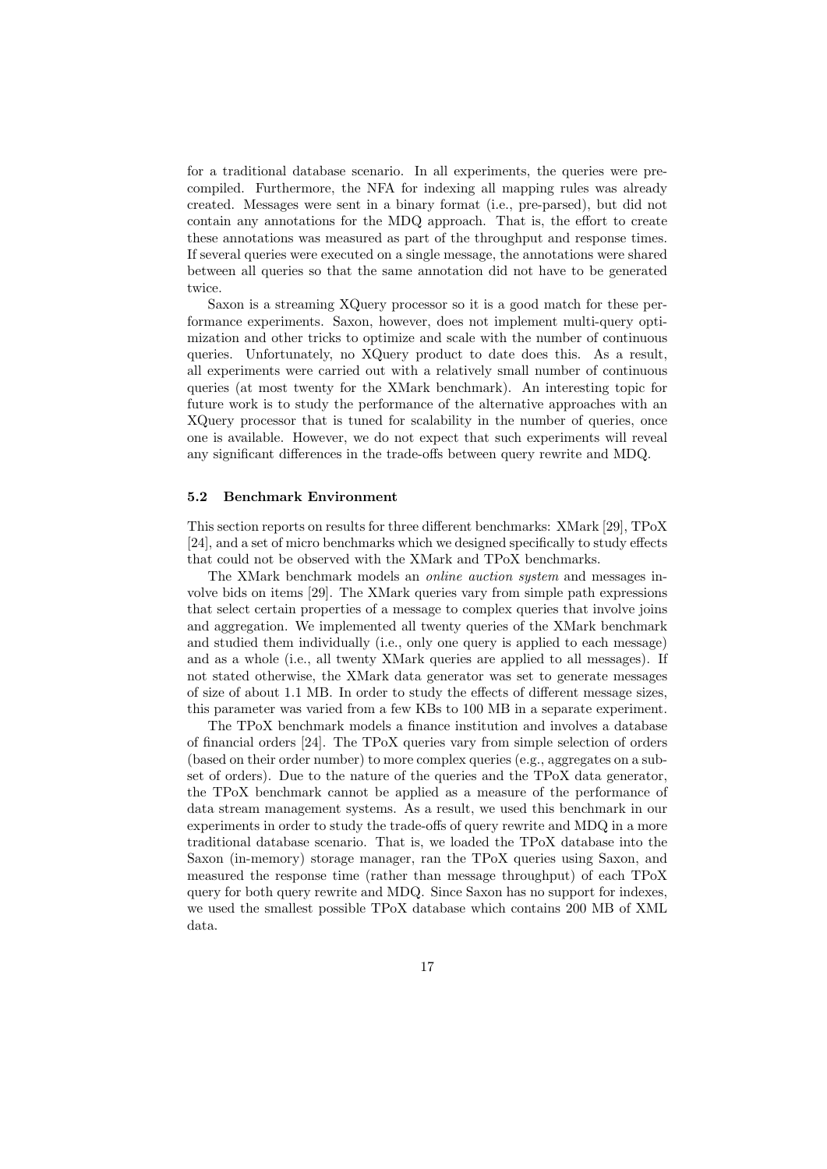for a traditional database scenario. In all experiments, the queries were precompiled. Furthermore, the NFA for indexing all mapping rules was already created. Messages were sent in a binary format (i.e., pre-parsed), but did not contain any annotations for the MDQ approach. That is, the effort to create these annotations was measured as part of the throughput and response times. If several queries were executed on a single message, the annotations were shared between all queries so that the same annotation did not have to be generated twice.

Saxon is a streaming XQuery processor so it is a good match for these performance experiments. Saxon, however, does not implement multi-query optimization and other tricks to optimize and scale with the number of continuous queries. Unfortunately, no XQuery product to date does this. As a result, all experiments were carried out with a relatively small number of continuous queries (at most twenty for the XMark benchmark). An interesting topic for future work is to study the performance of the alternative approaches with an XQuery processor that is tuned for scalability in the number of queries, once one is available. However, we do not expect that such experiments will reveal any significant differences in the trade-offs between query rewrite and MDQ.

#### 5.2 Benchmark Environment

This section reports on results for three different benchmarks: XMark [29], TPoX [24], and a set of micro benchmarks which we designed specifically to study effects that could not be observed with the XMark and TPoX benchmarks.

The XMark benchmark models an online auction system and messages involve bids on items [29]. The XMark queries vary from simple path expressions that select certain properties of a message to complex queries that involve joins and aggregation. We implemented all twenty queries of the XMark benchmark and studied them individually (i.e., only one query is applied to each message) and as a whole (i.e., all twenty XMark queries are applied to all messages). If not stated otherwise, the XMark data generator was set to generate messages of size of about 1.1 MB. In order to study the effects of different message sizes, this parameter was varied from a few KBs to 100 MB in a separate experiment.

The TPoX benchmark models a finance institution and involves a database of financial orders [24]. The TPoX queries vary from simple selection of orders (based on their order number) to more complex queries (e.g., aggregates on a subset of orders). Due to the nature of the queries and the TPoX data generator, the TPoX benchmark cannot be applied as a measure of the performance of data stream management systems. As a result, we used this benchmark in our experiments in order to study the trade-offs of query rewrite and MDQ in a more traditional database scenario. That is, we loaded the TPoX database into the Saxon (in-memory) storage manager, ran the TPoX queries using Saxon, and measured the response time (rather than message throughput) of each TPoX query for both query rewrite and MDQ. Since Saxon has no support for indexes, we used the smallest possible TPoX database which contains 200 MB of XML data.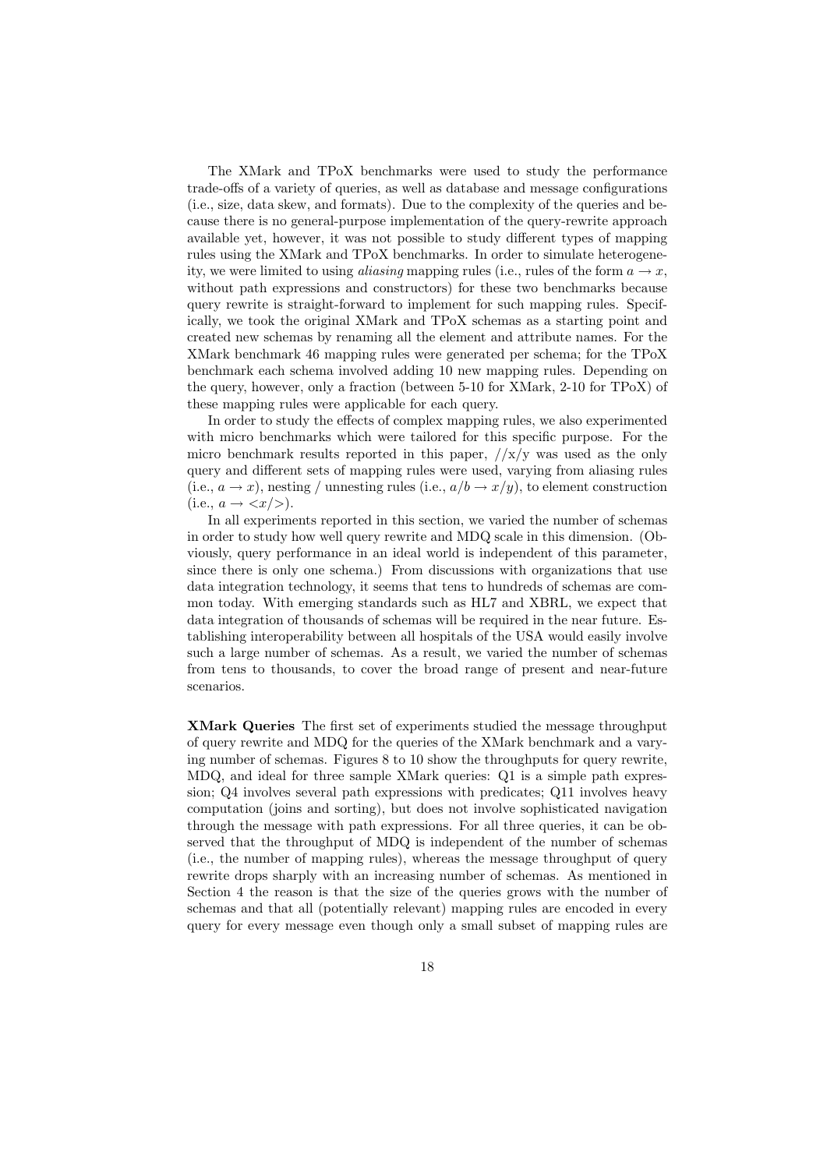The XMark and TPoX benchmarks were used to study the performance trade-offs of a variety of queries, as well as database and message configurations (i.e., size, data skew, and formats). Due to the complexity of the queries and because there is no general-purpose implementation of the query-rewrite approach available yet, however, it was not possible to study different types of mapping rules using the XMark and TPoX benchmarks. In order to simulate heterogeneity, we were limited to using *aliasing* mapping rules (i.e., rules of the form  $a \rightarrow x$ , without path expressions and constructors) for these two benchmarks because query rewrite is straight-forward to implement for such mapping rules. Specifically, we took the original XMark and TPoX schemas as a starting point and created new schemas by renaming all the element and attribute names. For the XMark benchmark 46 mapping rules were generated per schema; for the TPoX benchmark each schema involved adding 10 new mapping rules. Depending on the query, however, only a fraction (between 5-10 for XMark, 2-10 for TPoX) of these mapping rules were applicable for each query.

In order to study the effects of complex mapping rules, we also experimented with micro benchmarks which were tailored for this specific purpose. For the micro benchmark results reported in this paper,  $//x/y$  was used as the only query and different sets of mapping rules were used, varying from aliasing rules  $(i.e., a \rightarrow x)$ , nesting / unnesting rules  $(i.e., a/b \rightarrow x/y)$ , to element construction  $(i.e., a \rightarrow \langle x \rangle).$ 

In all experiments reported in this section, we varied the number of schemas in order to study how well query rewrite and MDQ scale in this dimension. (Obviously, query performance in an ideal world is independent of this parameter, since there is only one schema.) From discussions with organizations that use data integration technology, it seems that tens to hundreds of schemas are common today. With emerging standards such as HL7 and XBRL, we expect that data integration of thousands of schemas will be required in the near future. Establishing interoperability between all hospitals of the USA would easily involve such a large number of schemas. As a result, we varied the number of schemas from tens to thousands, to cover the broad range of present and near-future scenarios.

XMark Queries The first set of experiments studied the message throughput of query rewrite and MDQ for the queries of the XMark benchmark and a varying number of schemas. Figures 8 to 10 show the throughputs for query rewrite, MDQ, and ideal for three sample XMark queries: Q1 is a simple path expression; Q4 involves several path expressions with predicates; Q11 involves heavy computation (joins and sorting), but does not involve sophisticated navigation through the message with path expressions. For all three queries, it can be observed that the throughput of MDQ is independent of the number of schemas (i.e., the number of mapping rules), whereas the message throughput of query rewrite drops sharply with an increasing number of schemas. As mentioned in Section 4 the reason is that the size of the queries grows with the number of schemas and that all (potentially relevant) mapping rules are encoded in every query for every message even though only a small subset of mapping rules are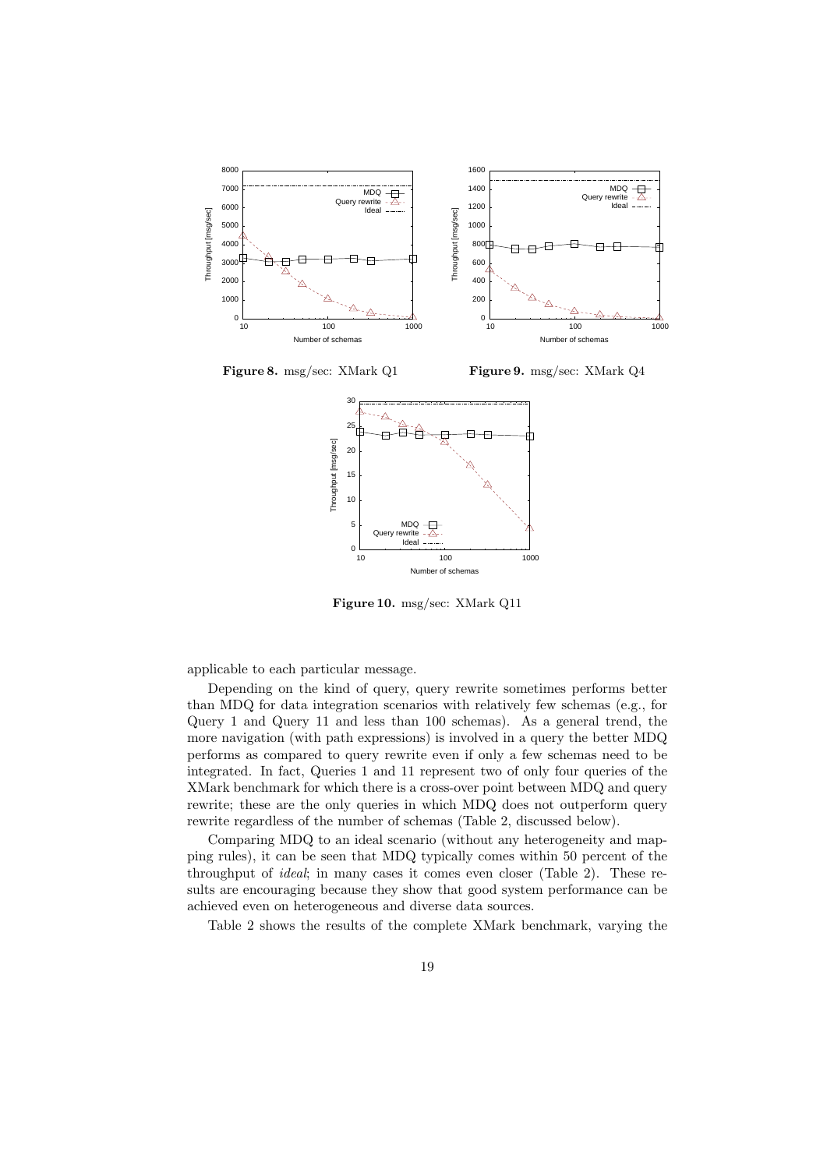

Figure 8. msg/sec: XMark Q1 Figure 9. msg/sec: XMark Q4



Figure 10. msg/sec: XMark Q11

applicable to each particular message.

Depending on the kind of query, query rewrite sometimes performs better than MDQ for data integration scenarios with relatively few schemas (e.g., for Query 1 and Query 11 and less than 100 schemas). As a general trend, the more navigation (with path expressions) is involved in a query the better MDQ performs as compared to query rewrite even if only a few schemas need to be integrated. In fact, Queries 1 and 11 represent two of only four queries of the XMark benchmark for which there is a cross-over point between MDQ and query rewrite; these are the only queries in which MDQ does not outperform query rewrite regardless of the number of schemas (Table 2, discussed below).

Comparing MDQ to an ideal scenario (without any heterogeneity and mapping rules), it can be seen that MDQ typically comes within 50 percent of the throughput of ideal; in many cases it comes even closer (Table 2). These results are encouraging because they show that good system performance can be achieved even on heterogeneous and diverse data sources.

Table 2 shows the results of the complete XMark benchmark, varying the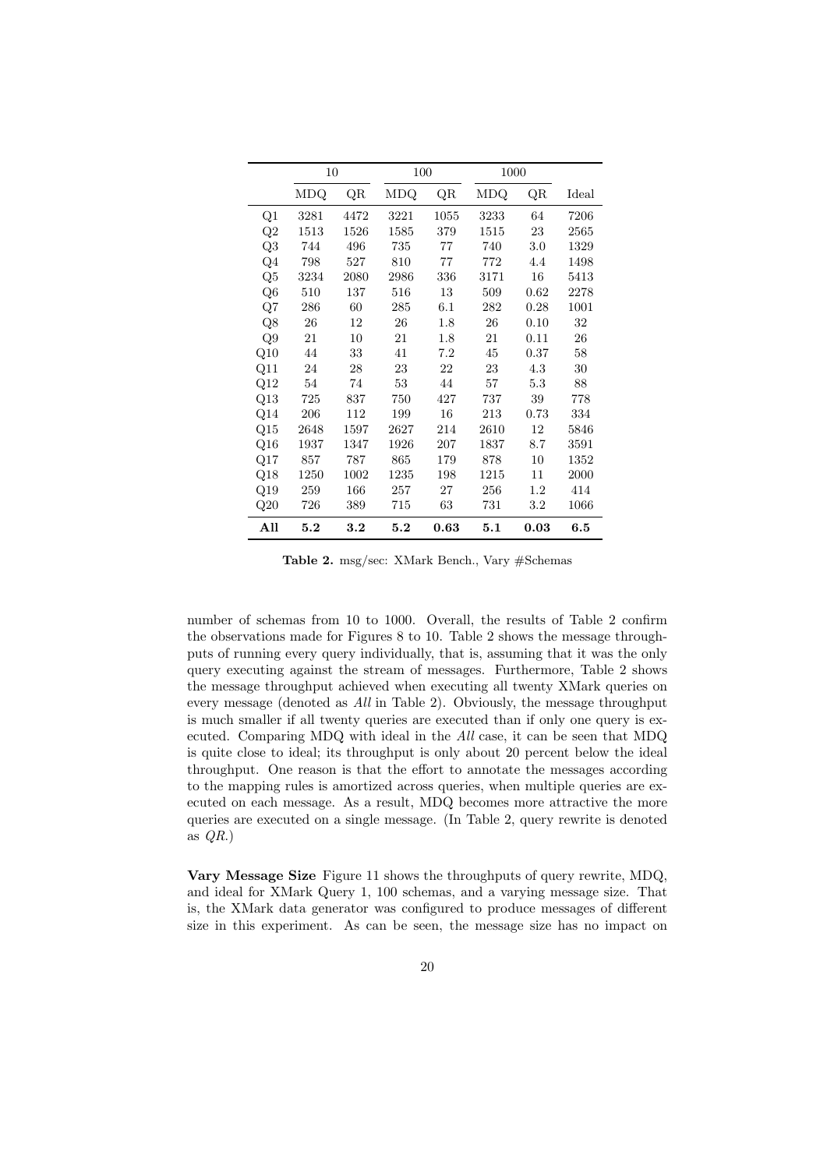|                | 10   |               | 100  |      | 1000 |         |       |
|----------------|------|---------------|------|------|------|---------|-------|
|                | MDQ  | $\mathrm{QR}$ | MDQ  | QR   | MDQ  | QR      | Ideal |
| Q1             | 3281 | 4472          | 3221 | 1055 | 3233 | 64      | 7206  |
| Q2             | 1513 | 1526          | 1585 | 379  | 1515 | 23      | 2565  |
| Q3             | 744  | 496           | 735  | 77   | 740  | 3.0     | 1329  |
| $Q_4$          | 798  | 527           | 810  | 77   | 772  | 4.4     | 1498  |
| Q <sub>5</sub> | 3234 | 2080          | 2986 | 336  | 3171 | 16      | 5413  |
| Q <sub>6</sub> | 510  | 137           | 516  | 13   | 509  | 0.62    | 2278  |
| Q7             | 286  | 60            | 285  | 6.1  | 282  | 0.28    | 1001  |
| Q8             | 26   | 12            | 26   | 1.8  | 26   | 0.10    | 32    |
| Q9             | 21   | 10            | 21   | 1.8  | 21   | 0.11    | 26    |
| Q10            | 44   | 33            | 41   | 7.2  | 45   | 0.37    | 58    |
| Q11            | 24   | 28            | 23   | 22   | 23   | 4.3     | 30    |
| Q12            | 54   | 74            | 53   | 44   | 57   | 5.3     | 88    |
| Q13            | 725  | 837           | 750  | 427  | 737  | 39      | 778   |
| Q14            | 206  | 112           | 199  | 16   | 213  | 0.73    | 334   |
| Q15            | 2648 | 1597          | 2627 | 214  | 2610 | 12      | 5846  |
| Q16            | 1937 | 1347          | 1926 | 207  | 1837 | 8.7     | 3591  |
| Q17            | 857  | 787           | 865  | 179  | 878  | 10      | 1352  |
| Q18            | 1250 | 1002          | 1235 | 198  | 1215 | 11      | 2000  |
| Q19            | 259  | 166           | 257  | 27   | 256  | $1.2\,$ | 414   |
| Q20            | 726  | 389           | 715  | 63   | 731  | $3.2\,$ | 1066  |
| All            | 5.2  | 3.2           | 5.2  | 0.63 | 5.1  | 0.03    | 6.5   |

Table 2. msg/sec: XMark Bench., Vary #Schemas

number of schemas from 10 to 1000. Overall, the results of Table 2 confirm the observations made for Figures 8 to 10. Table 2 shows the message throughputs of running every query individually, that is, assuming that it was the only query executing against the stream of messages. Furthermore, Table 2 shows the message throughput achieved when executing all twenty XMark queries on every message (denoted as All in Table 2). Obviously, the message throughput is much smaller if all twenty queries are executed than if only one query is executed. Comparing MDQ with ideal in the All case, it can be seen that MDQ is quite close to ideal; its throughput is only about 20 percent below the ideal throughput. One reason is that the effort to annotate the messages according to the mapping rules is amortized across queries, when multiple queries are executed on each message. As a result, MDQ becomes more attractive the more queries are executed on a single message. (In Table 2, query rewrite is denoted as  $QR.$ )

Vary Message Size Figure 11 shows the throughputs of query rewrite, MDQ, and ideal for XMark Query 1, 100 schemas, and a varying message size. That is, the XMark data generator was configured to produce messages of different size in this experiment. As can be seen, the message size has no impact on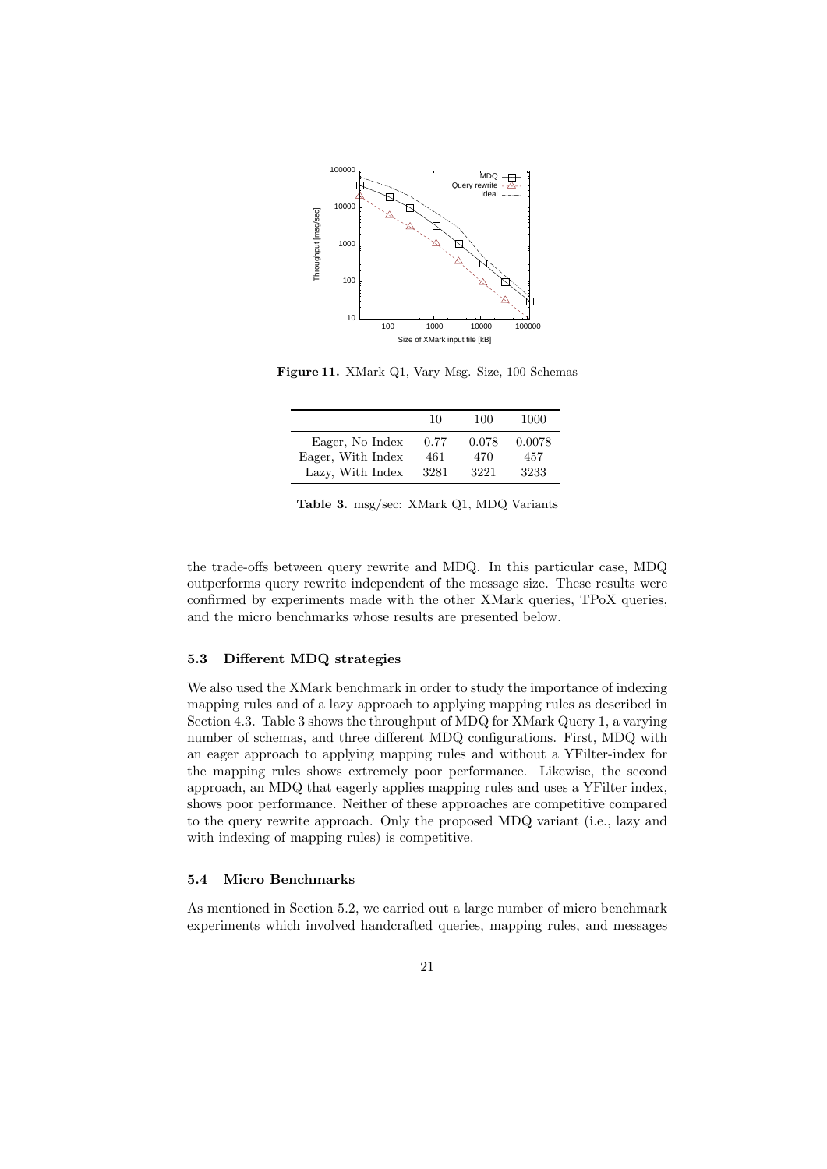

Figure 11. XMark Q1, Vary Msg. Size, 100 Schemas

|                   | 10   | 100   | 1000   |
|-------------------|------|-------|--------|
| Eager, No Index   | 0.77 | 0.078 | 0.0078 |
| Eager, With Index | 461  | 470   | 457    |
| Lazy, With Index  | 3281 | 3221  | 3233   |

Table 3. msg/sec: XMark Q1, MDQ Variants

the trade-offs between query rewrite and MDQ. In this particular case, MDQ outperforms query rewrite independent of the message size. These results were confirmed by experiments made with the other XMark queries, TPoX queries, and the micro benchmarks whose results are presented below.

## 5.3 Different MDQ strategies

We also used the XMark benchmark in order to study the importance of indexing mapping rules and of a lazy approach to applying mapping rules as described in Section 4.3. Table 3 shows the throughput of MDQ for XMark Query 1, a varying number of schemas, and three different MDQ configurations. First, MDQ with an eager approach to applying mapping rules and without a YFilter-index for the mapping rules shows extremely poor performance. Likewise, the second approach, an MDQ that eagerly applies mapping rules and uses a YFilter index, shows poor performance. Neither of these approaches are competitive compared to the query rewrite approach. Only the proposed MDQ variant (i.e., lazy and with indexing of mapping rules) is competitive.

#### 5.4 Micro Benchmarks

As mentioned in Section 5.2, we carried out a large number of micro benchmark experiments which involved handcrafted queries, mapping rules, and messages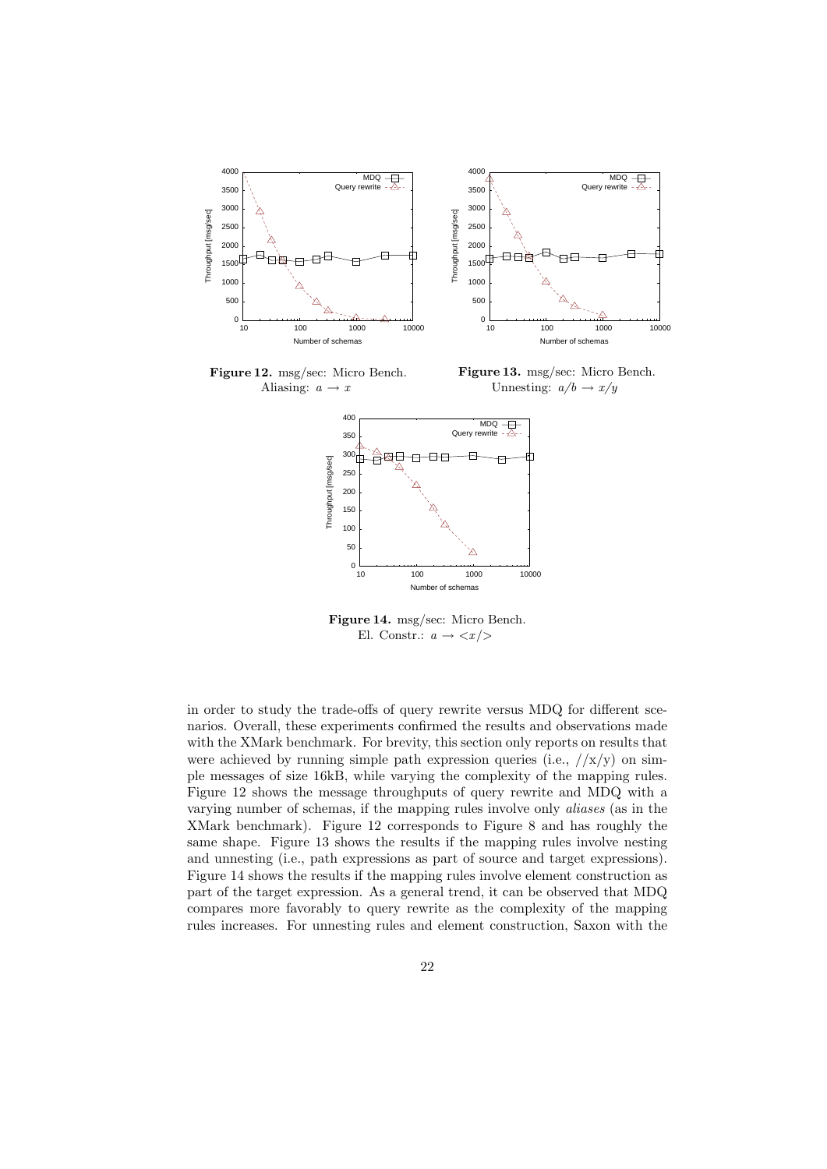

Figure 12. msg/sec: Micro Bench. Aliasing:  $a \rightarrow x$ 

Figure 13. msg/sec: Micro Bench. Unnesting:  $a/b \rightarrow x/y$ 



Figure 14. msg/sec: Micro Bench. El. Constr.:  $a \rightarrow \langle x \rangle$ 

in order to study the trade-offs of query rewrite versus MDQ for different scenarios. Overall, these experiments confirmed the results and observations made with the XMark benchmark. For brevity, this section only reports on results that were achieved by running simple path expression queries (i.e.,  $//x/y$ ) on simple messages of size 16kB, while varying the complexity of the mapping rules. Figure 12 shows the message throughputs of query rewrite and MDQ with a varying number of schemas, if the mapping rules involve only aliases (as in the XMark benchmark). Figure 12 corresponds to Figure 8 and has roughly the same shape. Figure 13 shows the results if the mapping rules involve nesting and unnesting (i.e., path expressions as part of source and target expressions). Figure 14 shows the results if the mapping rules involve element construction as part of the target expression. As a general trend, it can be observed that MDQ compares more favorably to query rewrite as the complexity of the mapping rules increases. For unnesting rules and element construction, Saxon with the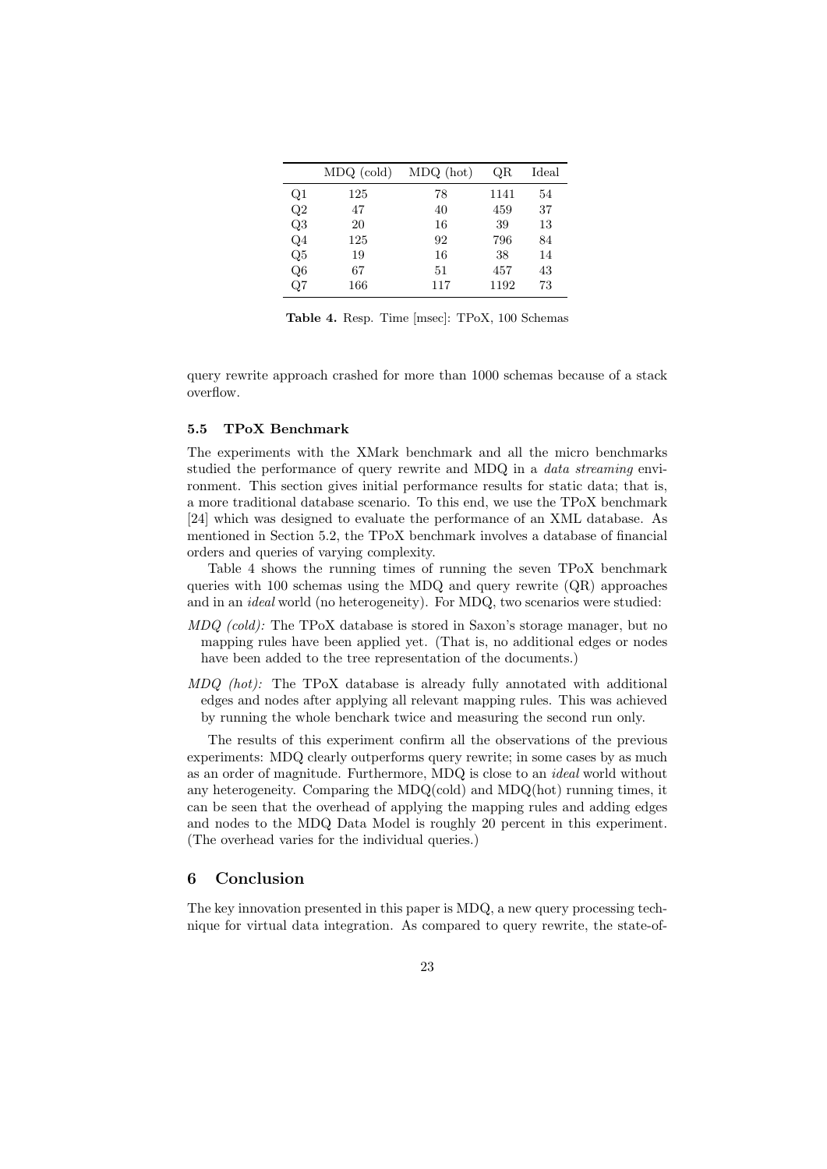|                | $MDQ$ (cold) | MDQ (hot) | QR   | Ideal |
|----------------|--------------|-----------|------|-------|
| Q1             | 125          | 78        | 1141 | 54    |
| Q2             | 47           | 40        | 459  | 37    |
| Q3             | 20           | 16        | 39   | 13    |
| Q <sub>4</sub> | 125          | 92        | 796  | 84    |
| Q5             | 19           | 16        | 38   | 14    |
| Q <sub>6</sub> | 67           | 51        | 457  | 43    |
| Q7             | 166          | 117       | 1192 | 73    |

Table 4. Resp. Time [msec]: TPoX, 100 Schemas

query rewrite approach crashed for more than 1000 schemas because of a stack overflow.

#### 5.5 TPoX Benchmark

The experiments with the XMark benchmark and all the micro benchmarks studied the performance of query rewrite and MDQ in a data streaming environment. This section gives initial performance results for static data; that is, a more traditional database scenario. To this end, we use the TPoX benchmark [24] which was designed to evaluate the performance of an XML database. As mentioned in Section 5.2, the TPoX benchmark involves a database of financial orders and queries of varying complexity.

Table 4 shows the running times of running the seven TPoX benchmark queries with 100 schemas using the MDQ and query rewrite (QR) approaches and in an ideal world (no heterogeneity). For MDQ, two scenarios were studied:

- MDQ (cold): The TPoX database is stored in Saxon's storage manager, but no mapping rules have been applied yet. (That is, no additional edges or nodes have been added to the tree representation of the documents.)
- MDQ (hot): The TPoX database is already fully annotated with additional edges and nodes after applying all relevant mapping rules. This was achieved by running the whole benchark twice and measuring the second run only.

The results of this experiment confirm all the observations of the previous experiments: MDQ clearly outperforms query rewrite; in some cases by as much as an order of magnitude. Furthermore, MDQ is close to an ideal world without any heterogeneity. Comparing the MDQ(cold) and MDQ(hot) running times, it can be seen that the overhead of applying the mapping rules and adding edges and nodes to the MDQ Data Model is roughly 20 percent in this experiment. (The overhead varies for the individual queries.)

## 6 Conclusion

The key innovation presented in this paper is MDQ, a new query processing technique for virtual data integration. As compared to query rewrite, the state-of-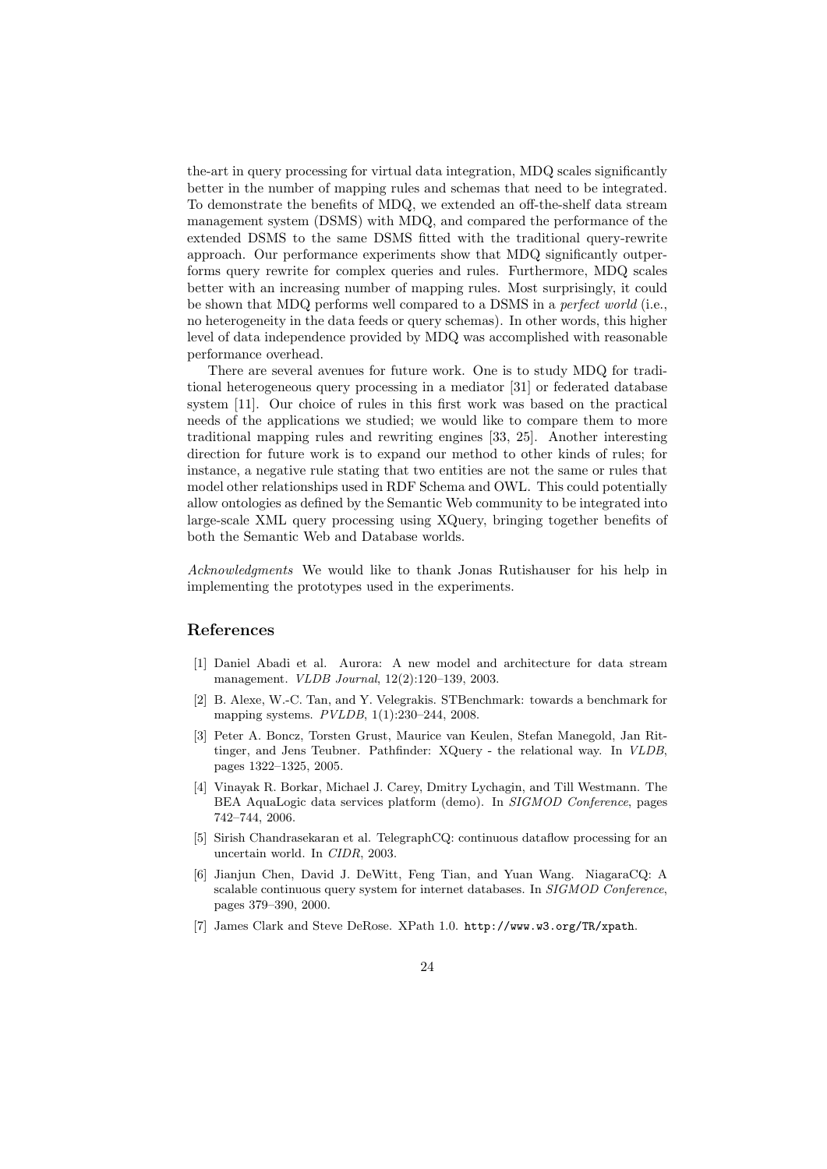the-art in query processing for virtual data integration, MDQ scales significantly better in the number of mapping rules and schemas that need to be integrated. To demonstrate the benefits of MDQ, we extended an off-the-shelf data stream management system (DSMS) with MDQ, and compared the performance of the extended DSMS to the same DSMS fitted with the traditional query-rewrite approach. Our performance experiments show that MDQ significantly outperforms query rewrite for complex queries and rules. Furthermore, MDQ scales better with an increasing number of mapping rules. Most surprisingly, it could be shown that MDQ performs well compared to a DSMS in a perfect world (i.e., no heterogeneity in the data feeds or query schemas). In other words, this higher level of data independence provided by MDQ was accomplished with reasonable performance overhead.

There are several avenues for future work. One is to study MDQ for traditional heterogeneous query processing in a mediator [31] or federated database system [11]. Our choice of rules in this first work was based on the practical needs of the applications we studied; we would like to compare them to more traditional mapping rules and rewriting engines [33, 25]. Another interesting direction for future work is to expand our method to other kinds of rules; for instance, a negative rule stating that two entities are not the same or rules that model other relationships used in RDF Schema and OWL. This could potentially allow ontologies as defined by the Semantic Web community to be integrated into large-scale XML query processing using XQuery, bringing together benefits of both the Semantic Web and Database worlds.

Acknowledgments We would like to thank Jonas Rutishauser for his help in implementing the prototypes used in the experiments.

## References

- [1] Daniel Abadi et al. Aurora: A new model and architecture for data stream management. VLDB Journal, 12(2):120–139, 2003.
- [2] B. Alexe, W.-C. Tan, and Y. Velegrakis. STBenchmark: towards a benchmark for mapping systems. PVLDB, 1(1):230–244, 2008.
- [3] Peter A. Boncz, Torsten Grust, Maurice van Keulen, Stefan Manegold, Jan Rittinger, and Jens Teubner. Pathfinder: XQuery - the relational way. In VLDB, pages 1322–1325, 2005.
- [4] Vinayak R. Borkar, Michael J. Carey, Dmitry Lychagin, and Till Westmann. The BEA AquaLogic data services platform (demo). In SIGMOD Conference, pages 742–744, 2006.
- [5] Sirish Chandrasekaran et al. TelegraphCQ: continuous dataflow processing for an uncertain world. In CIDR, 2003.
- [6] Jianjun Chen, David J. DeWitt, Feng Tian, and Yuan Wang. NiagaraCQ: A scalable continuous query system for internet databases. In SIGMOD Conference, pages 379–390, 2000.
- [7] James Clark and Steve DeRose. XPath 1.0. http://www.w3.org/TR/xpath.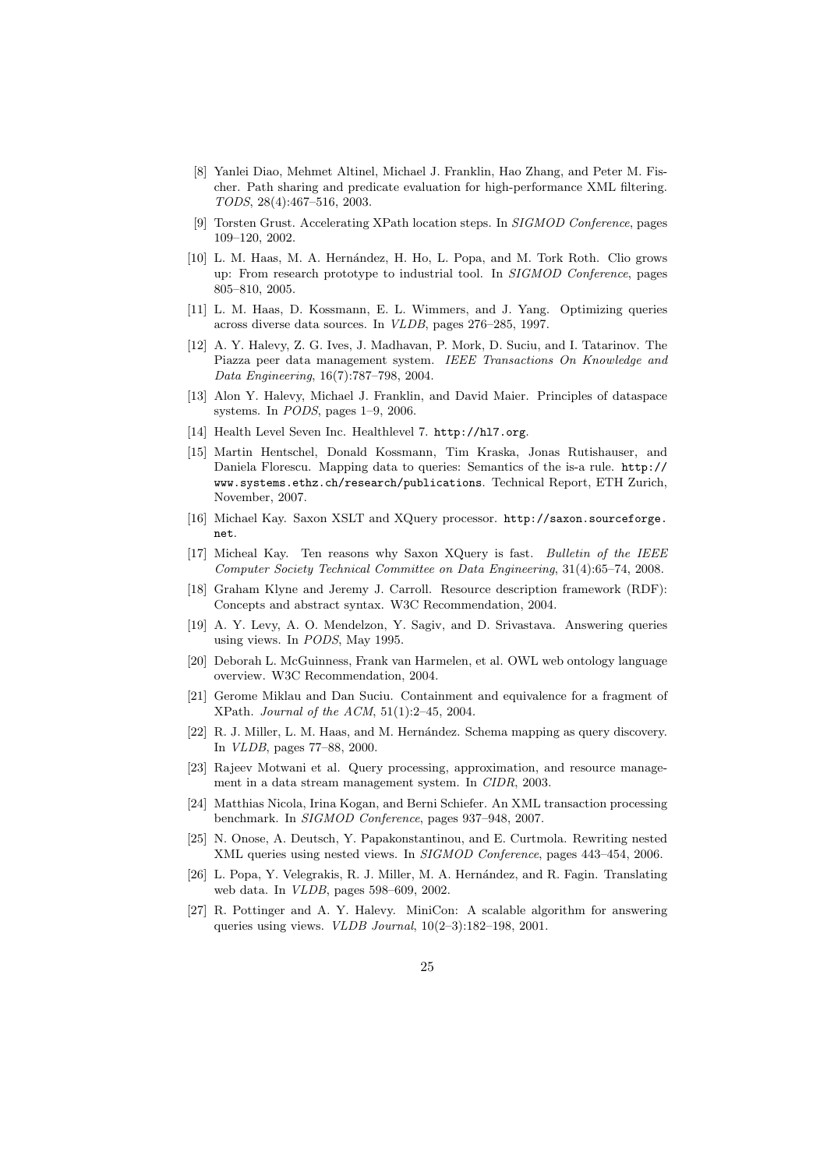- [8] Yanlei Diao, Mehmet Altinel, Michael J. Franklin, Hao Zhang, and Peter M. Fischer. Path sharing and predicate evaluation for high-performance XML filtering. TODS, 28(4):467–516, 2003.
- [9] Torsten Grust. Accelerating XPath location steps. In SIGMOD Conference, pages 109–120, 2002.
- [10] L. M. Haas, M. A. Hern´andez, H. Ho, L. Popa, and M. Tork Roth. Clio grows up: From research prototype to industrial tool. In SIGMOD Conference, pages 805–810, 2005.
- [11] L. M. Haas, D. Kossmann, E. L. Wimmers, and J. Yang. Optimizing queries across diverse data sources. In VLDB, pages 276–285, 1997.
- [12] A. Y. Halevy, Z. G. Ives, J. Madhavan, P. Mork, D. Suciu, and I. Tatarinov. The Piazza peer data management system. IEEE Transactions On Knowledge and Data Engineering, 16(7):787–798, 2004.
- [13] Alon Y. Halevy, Michael J. Franklin, and David Maier. Principles of dataspace systems. In PODS, pages 1–9, 2006.
- [14] Health Level Seven Inc. Healthlevel 7. http://hl7.org.
- [15] Martin Hentschel, Donald Kossmann, Tim Kraska, Jonas Rutishauser, and Daniela Florescu. Mapping data to queries: Semantics of the is-a rule. http:// www.systems.ethz.ch/research/publications. Technical Report, ETH Zurich, November, 2007.
- [16] Michael Kay. Saxon XSLT and XQuery processor. http://saxon.sourceforge. net.
- [17] Micheal Kay. Ten reasons why Saxon XQuery is fast. Bulletin of the IEEE Computer Society Technical Committee on Data Engineering, 31(4):65–74, 2008.
- [18] Graham Klyne and Jeremy J. Carroll. Resource description framework (RDF): Concepts and abstract syntax. W3C Recommendation, 2004.
- [19] A. Y. Levy, A. O. Mendelzon, Y. Sagiv, and D. Srivastava. Answering queries using views. In PODS, May 1995.
- [20] Deborah L. McGuinness, Frank van Harmelen, et al. OWL web ontology language overview. W3C Recommendation, 2004.
- [21] Gerome Miklau and Dan Suciu. Containment and equivalence for a fragment of XPath. Journal of the ACM, 51(1):2–45, 2004.
- [22] R. J. Miller, L. M. Haas, and M. Hernández. Schema mapping as query discovery. In VLDB, pages 77–88, 2000.
- [23] Rajeev Motwani et al. Query processing, approximation, and resource management in a data stream management system. In CIDR, 2003.
- [24] Matthias Nicola, Irina Kogan, and Berni Schiefer. An XML transaction processing benchmark. In SIGMOD Conference, pages 937–948, 2007.
- [25] N. Onose, A. Deutsch, Y. Papakonstantinou, and E. Curtmola. Rewriting nested XML queries using nested views. In SIGMOD Conference, pages 443–454, 2006.
- [26] L. Popa, Y. Velegrakis, R. J. Miller, M. A. Hernández, and R. Fagin. Translating web data. In VLDB, pages 598–609, 2002.
- [27] R. Pottinger and A. Y. Halevy. MiniCon: A scalable algorithm for answering queries using views. VLDB Journal, 10(2–3):182–198, 2001.